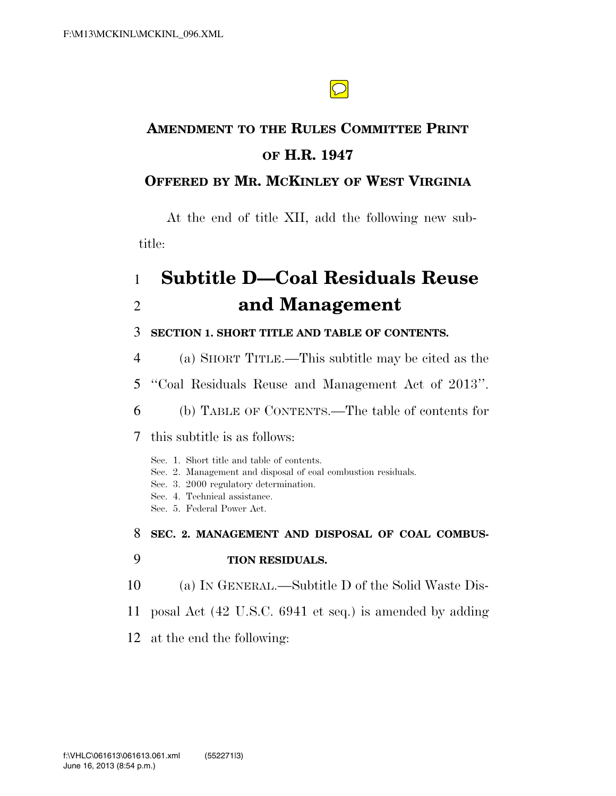$\bigcirc$ 

# **AMENDMENT TO THE RULES COMMITTEE PRINT OF H.R. 1947**

# **OFFERED BY MR. MCKINLEY OF WEST VIRGINIA**

At the end of title XII, add the following new subtitle:

# 1 **Subtitle D—Coal Residuals Reuse**  2 **and Management**

### 3 **SECTION 1. SHORT TITLE AND TABLE OF CONTENTS.**

4 (a) SHORT TITLE.—This subtitle may be cited as the

5 ''Coal Residuals Reuse and Management Act of 2013''.

6 (b) TABLE OF CONTENTS.—The table of contents for

7 this subtitle is as follows:

Sec. 1. Short title and table of contents.

- Sec. 2. Management and disposal of coal combustion residuals.
- Sec. 3. 2000 regulatory determination.
- Sec. 4. Technical assistance.
- Sec. 5. Federal Power Act.

8 **SEC. 2. MANAGEMENT AND DISPOSAL OF COAL COMBUS-**

## 9 **TION RESIDUALS.**

- 10 (a) IN GENERAL.—Subtitle D of the Solid Waste Dis-
- 11 posal Act (42 U.S.C. 6941 et seq.) is amended by adding
- 12 at the end the following: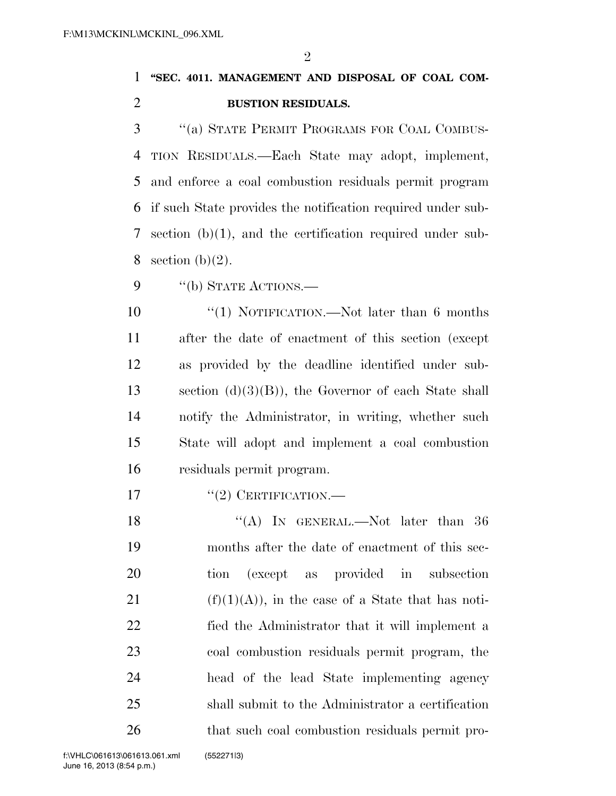$\mathfrak{D}$ 

# **''SEC. 4011. MANAGEMENT AND DISPOSAL OF COAL COM-BUSTION RESIDUALS.**

 ''(a) STATE PERMIT PROGRAMS FOR COAL COMBUS- TION RESIDUALS.—Each State may adopt, implement, and enforce a coal combustion residuals permit program if such State provides the notification required under sub- section (b)(1), and the certification required under sub-8 section  $(b)(2)$ .

9 "(b) STATE ACTIONS.—

10 "(1) NOTIFICATION.—Not later than 6 months after the date of enactment of this section (except as provided by the deadline identified under sub- section (d)(3)(B)), the Governor of each State shall notify the Administrator, in writing, whether such State will adopt and implement a coal combustion residuals permit program.

17  $\frac{17}{2}$  CERTIFICATION.

18 "(A) In GENERAL.—Not later than 36 months after the date of enactment of this sec- tion (except as provided in subsection 21 (f)(1)(A)), in the case of a State that has noti- fied the Administrator that it will implement a coal combustion residuals permit program, the head of the lead State implementing agency shall submit to the Administrator a certification 26 that such coal combustion residuals permit pro-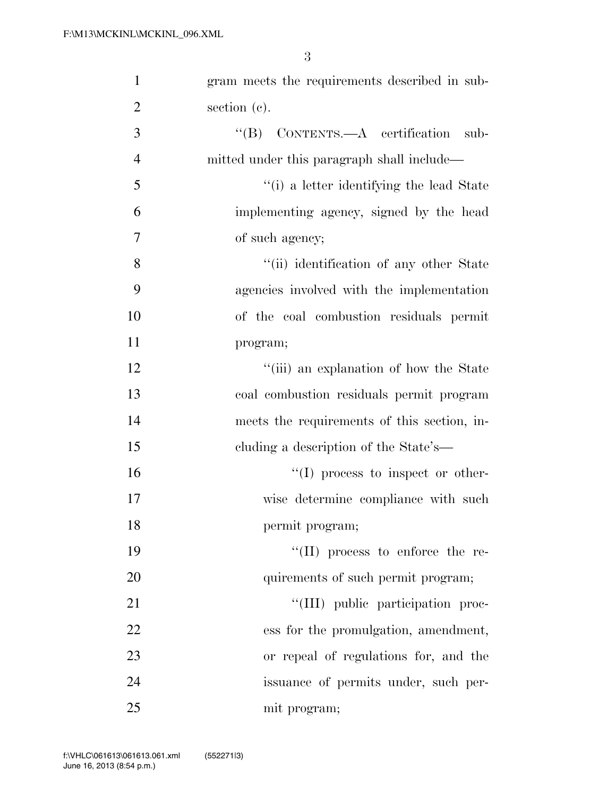| $\mathbf{1}$   | gram meets the requirements described in sub-    |
|----------------|--------------------------------------------------|
| $\overline{2}$ | section (c).                                     |
| 3              | $\text{``(B)}$ CONTENTS.—A certification<br>sub- |
| $\overline{4}$ | mitted under this paragraph shall include—       |
| 5              | "(i) a letter identifying the lead State         |
| 6              | implementing agency, signed by the head          |
| 7              | of such agency;                                  |
| 8              | "(ii) identification of any other State          |
| 9              | agencies involved with the implementation        |
| 10             | of the coal combustion residuals permit          |
| 11             | program;                                         |
| 12             | "(iii) an explanation of how the State           |
| 13             | coal combustion residuals permit program         |
| 14             | meets the requirements of this section, in-      |
| 15             | cluding a description of the State's—            |
| 16             | $\lq\lq$ (I) process to inspect or other-        |
| 17             | wise determine compliance with such              |
| 18             | permit program;                                  |
| 19             | $\lq\lq$ (II) process to enforce the re-         |
| 20             | quirements of such permit program;               |
| 21             | "(III) public participation proc-                |
| 22             | ess for the promulgation, amendment,             |
| 23             | or repeal of regulations for, and the            |
| 24             | issuance of permits under, such per-             |
| 25             | mit program;                                     |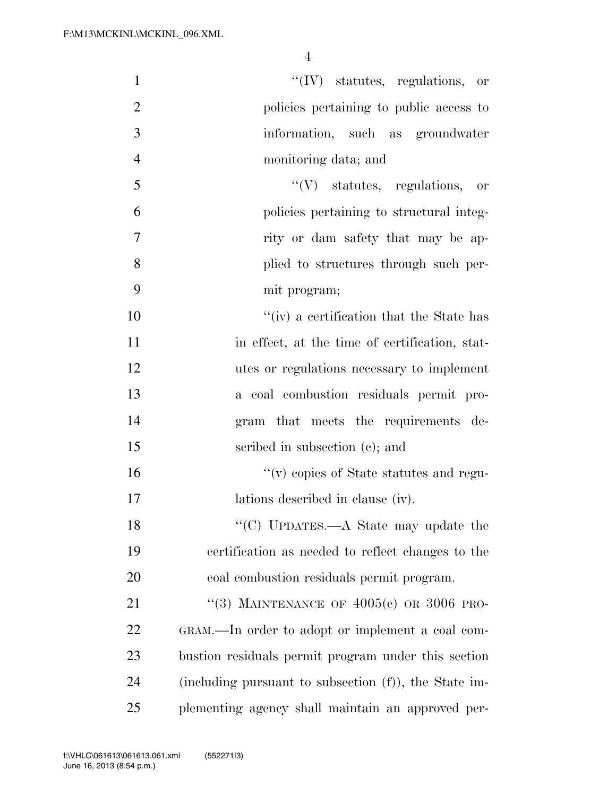| $\mathbf{1}$   | $``(IV)$ statutes, regulations, or                    |
|----------------|-------------------------------------------------------|
| $\overline{2}$ | policies pertaining to public access to               |
| 3              | information, such as groundwater                      |
| $\overline{4}$ | monitoring data; and                                  |
| 5              | $\lq\lq(V)$ statutes, regulations, or                 |
| 6              | policies pertaining to structural integ-              |
| 7              | rity or dam safety that may be ap-                    |
| 8              | plied to structures through such per-                 |
| 9              | mit program;                                          |
| 10             | "(iv) a certification that the State has              |
| 11             | in effect, at the time of certification, stat-        |
| 12             | utes or regulations necessary to implement            |
| 13             | a coal combustion residuals permit pro-               |
| 14             | gram that meets the requirements de-                  |
| 15             | scribed in subsection $(c)$ ; and                     |
| 16             | $\lq\lq$ (v) copies of State statutes and regu-       |
| 17             | lations described in clause (iv).                     |
| 18             | "(C) UPDATES.—A State may update the                  |
| 19             | certification as needed to reflect changes to the     |
| 20             | coal combustion residuals permit program.             |
| 21             | "(3) MAINTENANCE OF $4005(c)$ OR 3006 PRO-            |
| 22             | GRAM.—In order to adopt or implement a coal com-      |
| 23             | bustion residuals permit program under this section   |
| 24             | (including pursuant to subsection (f)), the State im- |
| 25             | plementing agency shall maintain an approved per-     |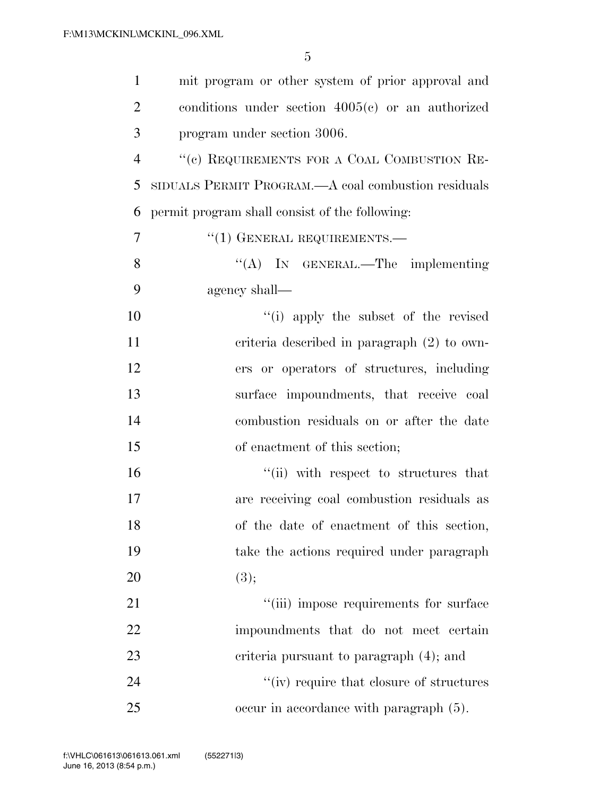| $\mathbf{1}$   | mit program or other system of prior approval and   |
|----------------|-----------------------------------------------------|
| $\overline{2}$ | conditions under section $4005(c)$ or an authorized |
| 3              | program under section 3006.                         |
| $\overline{4}$ | "(c) REQUIREMENTS FOR A COAL COMBUSTION RE-         |
| 5              | SIDUALS PERMIT PROGRAM.—A coal combustion residuals |
| 6              | permit program shall consist of the following:      |
| $\overline{7}$ | $``(1)$ GENERAL REQUIREMENTS.—                      |
| 8              | "(A) IN GENERAL.—The implementing                   |
| 9              | agency shall—                                       |
| 10             | "(i) apply the subset of the revised                |
| 11             | criteria described in paragraph $(2)$ to own-       |
| 12             | ers or operators of structures, including           |
| 13             | surface impoundments, that receive coal             |
| 14             | combustion residuals on or after the date           |
| 15             | of enactment of this section;                       |
| 16             | "(ii) with respect to structures that               |
| 17             | are receiving coal combustion residuals as          |
| 18             | of the date of enactment of this section,           |
| 19             | take the actions required under paragraph           |
| 20             | (3);                                                |
| 21             | "(iii) impose requirements for surface              |
| 22             | impoundments that do not meet certain               |
| 23             | criteria pursuant to paragraph (4); and             |
| 24             | "(iv) require that closure of structures            |
| 25             | occur in accordance with paragraph (5).             |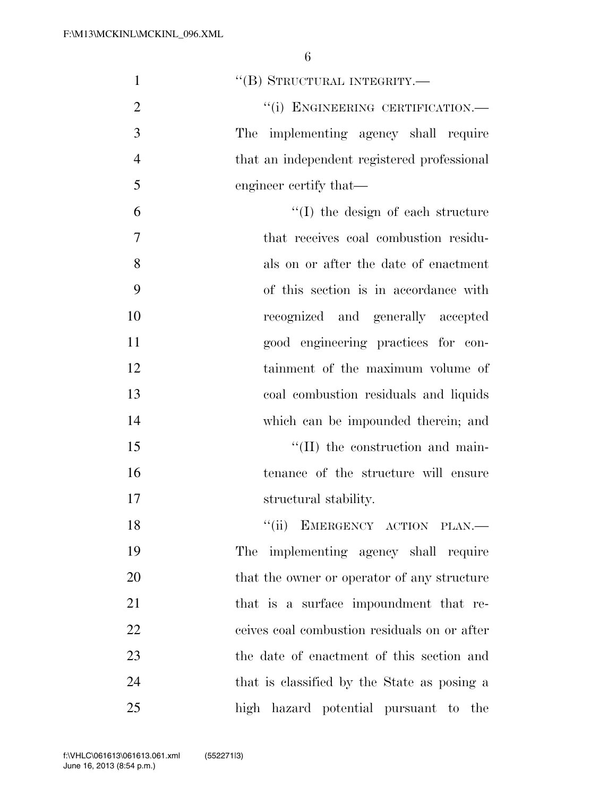| $\mathbf{1}$   | "(B) STRUCTURAL INTEGRITY.—                  |
|----------------|----------------------------------------------|
| $\overline{2}$ | "(i) ENGINEERING CERTIFICATION.-             |
| 3              | The implementing agency shall require        |
| $\overline{4}$ | that an independent registered professional  |
| 5              | engineer certify that—                       |
| 6              | "(I) the design of each structure            |
| 7              | that receives coal combustion residu-        |
| 8              | als on or after the date of enactment        |
| 9              | of this section is in accordance with        |
| 10             | recognized and generally accepted            |
| 11             | good engineering practices for con-          |
| 12             | tainment of the maximum volume of            |
| 13             | coal combustion residuals and liquids        |
| 14             | which can be impounded therein; and          |
| 15             | "(II) the construction and main-             |
| 16             | tenance of the structure will ensure         |
| 17             | structural stability.                        |
| 18             | "(ii) EMERGENCY ACTION PLAN.-                |
| 19             | The implementing agency shall require        |
| 20             | that the owner or operator of any structure  |
| 21             | that is a surface impoundment that re-       |
| 22             | ceives coal combustion residuals on or after |
| 23             | the date of enactment of this section and    |
| 24             | that is classified by the State as posing a  |
| 25             | high hazard potential pursuant to the        |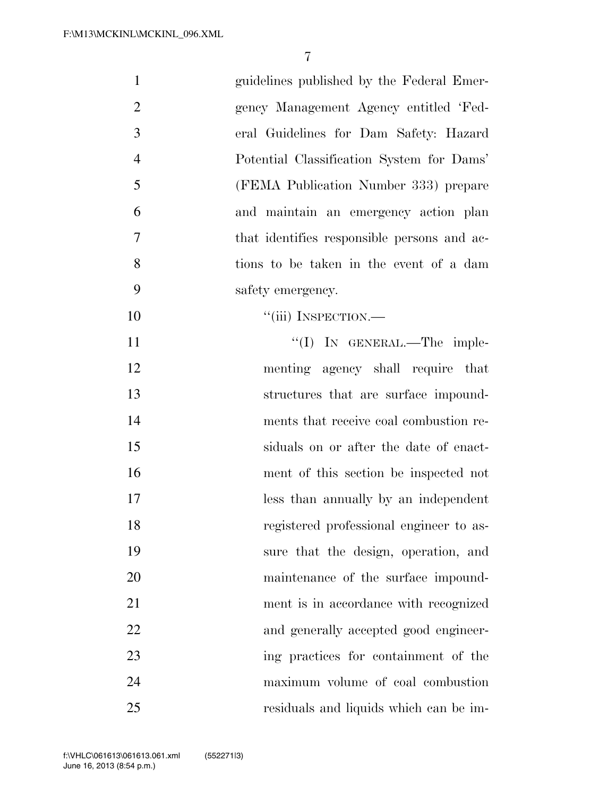| $\mathbf{1}$   | guidelines published by the Federal Emer-   |
|----------------|---------------------------------------------|
| $\overline{2}$ | gency Management Agency entitled 'Fed-      |
| 3              | eral Guidelines for Dam Safety: Hazard      |
| $\overline{4}$ | Potential Classification System for Dams'   |
| 5              | (FEMA Publication Number 333) prepare       |
| 6              | and maintain an emergency action plan       |
| 7              | that identifies responsible persons and ac- |
| 8              | tions to be taken in the event of a dam     |
| 9              | safety emergency.                           |
| 10             | "(iii) INSPECTION.—                         |
| 11             | "(I) IN GENERAL.—The imple-                 |
| 12             | menting agency shall require that           |
| 13             | structures that are surface impound-        |
| 14             | ments that receive coal combustion re-      |
| 15             | siduals on or after the date of enact-      |
| 16             | ment of this section be inspected not       |
| 17             | less than annually by an independent        |
| 18             | registered professional engineer to as-     |
| 19             | sure that the design, operation, and        |
| 20             | maintenance of the surface impound-         |
| 21             | ment is in accordance with recognized       |
| 22             | and generally accepted good engineer-       |
| 23             | ing practices for containment of the        |
| 24             | maximum volume of coal combustion           |
| 25             | residuals and liquids which can be im-      |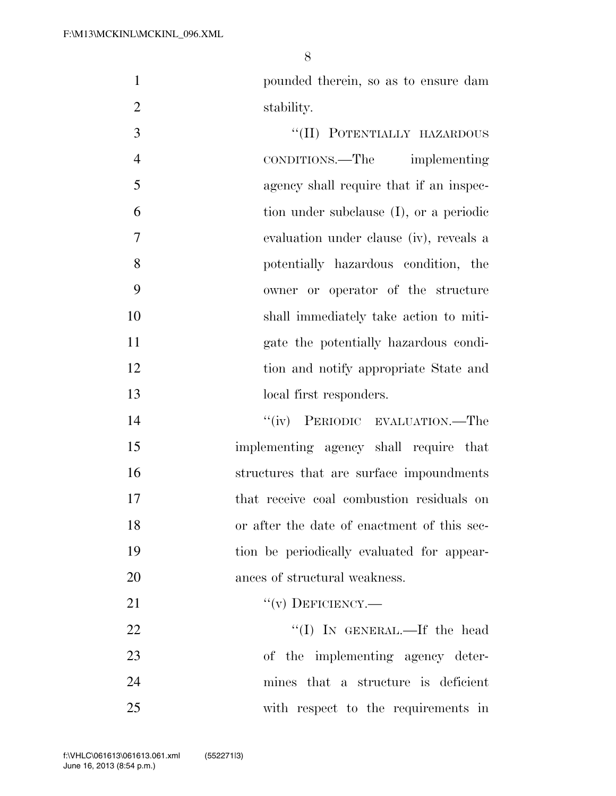pounded therein, so as to ensure dam 2 stability.

3 "(II) POTENTIALLY HAZARDOUS CONDITIONS.—The implementing agency shall require that if an inspec- tion under subclause (I), or a periodic evaluation under clause (iv), reveals a potentially hazardous condition, the owner or operator of the structure shall immediately take action to miti- gate the potentially hazardous condi- tion and notify appropriate State and 13 local first responders.

14 "(iv) PERIODIC EVALUATION.—The implementing agency shall require that structures that are surface impoundments that receive coal combustion residuals on or after the date of enactment of this sec- tion be periodically evaluated for appear-ances of structural weakness.

21  $``(v)$  DEFICIENCY.—

22 ''(I) IN GENERAL.—If the head of the implementing agency deter- mines that a structure is deficient with respect to the requirements in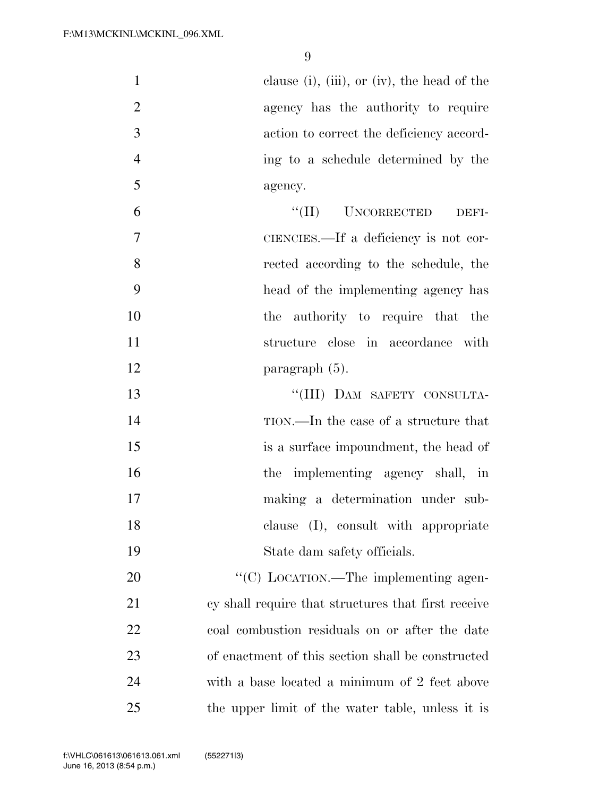| $\mathbf{1}$   | clause (i), (iii), or (iv), the head of the         |
|----------------|-----------------------------------------------------|
| $\overline{2}$ | agency has the authority to require                 |
| 3              | action to correct the deficiency accord-            |
| $\overline{4}$ | ing to a schedule determined by the                 |
| 5              | agency.                                             |
| 6              | ``(II)<br><b>UNCORRECTED</b><br>DEFI-               |
| $\overline{7}$ | CIENCIES.—If a deficiency is not cor-               |
| 8              | rected according to the schedule, the               |
| 9              | head of the implementing agency has                 |
| 10             | the authority to require that the                   |
| 11             | structure close in accordance with                  |
| 12             | paragraph (5).                                      |
| 13             | "(III) DAM SAFETY CONSULTA-                         |
| 14             | TION.—In the case of a structure that               |
| 15             | is a surface impoundment, the head of               |
| 16             | the implementing agency shall, in                   |
| 17             | making a determination under sub-                   |
| 18             | clause (I), consult with appropriate                |
| 19             | State dam safety officials.                         |
| 20             | "(C) LOCATION.—The implementing agen-               |
| 21             | cy shall require that structures that first receive |
| 22             | coal combustion residuals on or after the date      |
| 23             | of enactment of this section shall be constructed   |
| 24             | with a base located a minimum of 2 feet above       |
| 25             | the upper limit of the water table, unless it is    |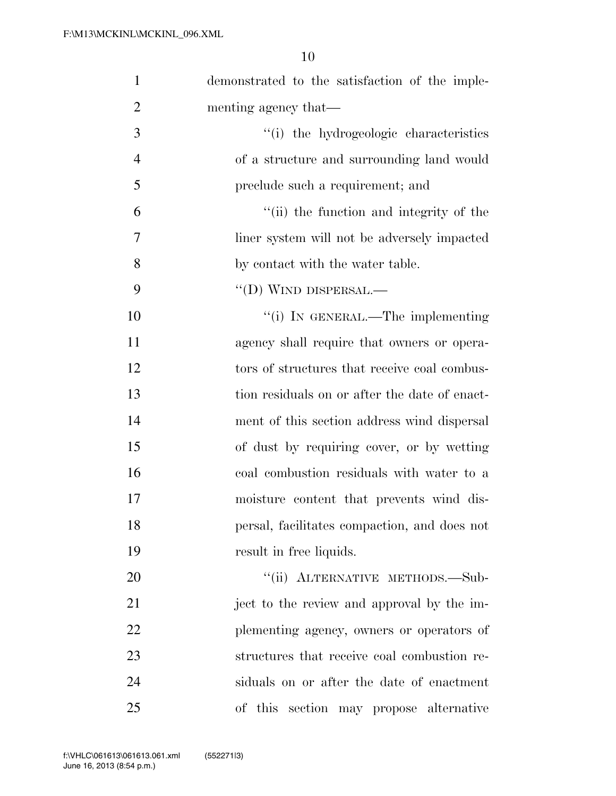| $\mathbf{1}$   | demonstrated to the satisfaction of the imple- |
|----------------|------------------------------------------------|
| $\overline{2}$ | menting agency that—                           |
| 3              | "(i) the hydrogeologic characteristics         |
| $\overline{4}$ | of a structure and surrounding land would      |
| 5              | preclude such a requirement; and               |
| 6              | "(ii) the function and integrity of the        |
| 7              | liner system will not be adversely impacted    |
| 8              | by contact with the water table.               |
| 9              | $\lq\lq$ (D) WIND DISPERSAL.—                  |
| 10             | "(i) IN GENERAL.—The implementing              |
| 11             | agency shall require that owners or opera-     |
| 12             | tors of structures that receive coal combus-   |
| 13             | tion residuals on or after the date of enact-  |
| 14             | ment of this section address wind dispersal    |
| 15             | of dust by requiring cover, or by wetting      |
| 16             | coal combustion residuals with water to a      |
| 17             | moisture content that prevents wind dis-       |
| 18             | persal, facilitates compaction, and does not   |
| 19             | result in free liquids.                        |
| 20             | "(ii) ALTERNATIVE METHODS.-Sub-                |
| 21             | ject to the review and approval by the im-     |
| 22             | plementing agency, owners or operators of      |
| 23             | structures that receive coal combustion re-    |
| 24             | siduals on or after the date of enactment      |
| 25             | of this section may propose alternative        |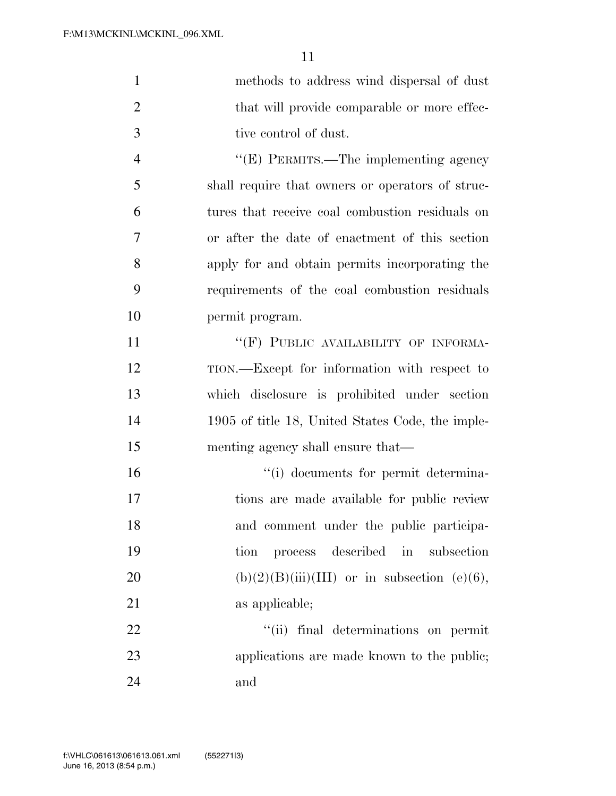| $\mathbf{1}$   | methods to address wind dispersal of dust        |
|----------------|--------------------------------------------------|
| $\overline{2}$ | that will provide comparable or more effec-      |
| 3              | tive control of dust.                            |
| $\overline{4}$ | "(E) PERMITS.—The implementing agency            |
| 5              | shall require that owners or operators of struc- |
| 6              | tures that receive coal combustion residuals on  |
| $\overline{7}$ | or after the date of enactment of this section   |
| 8              | apply for and obtain permits incorporating the   |
| 9              | requirements of the coal combustion residuals    |
| 10             | permit program.                                  |
| 11             | "(F) PUBLIC AVAILABILITY OF INFORMA-             |
| 12             | TION.—Except for information with respect to     |
| 13             | which disclosure is prohibited under section     |
| 14             | 1905 of title 18, United States Code, the imple- |
| 15             | menting agency shall ensure that—                |
| 16             | "(i) documents for permit determina-             |
| 17             | tions are made available for public review       |
| 18             | and comment under the public participa-          |
| 19             | process described in subsection<br>tion          |
| 20             | $(b)(2)(B)(iii)(III)$ or in subsection (e)(6),   |
| 21             | as applicable;                                   |
| 22             | "(ii) final determinations on permit             |
| 23             | applications are made known to the public;       |
| 24             | and                                              |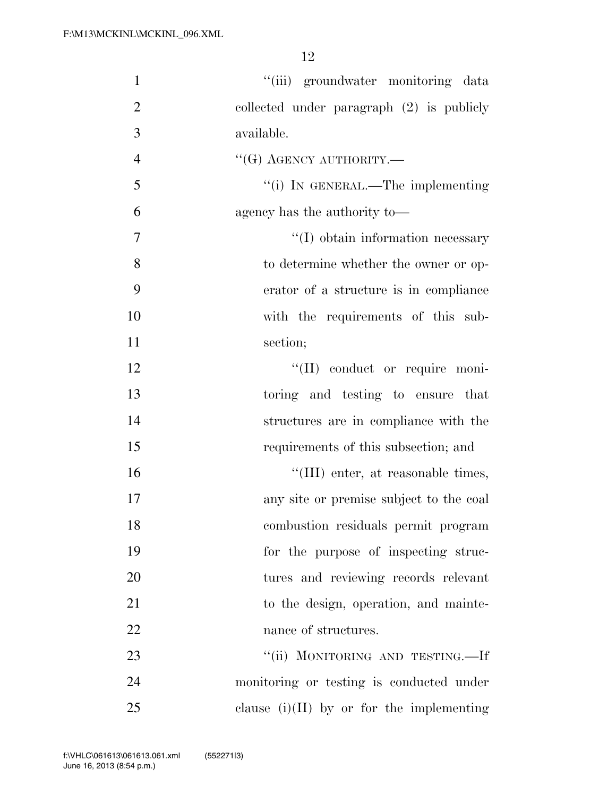| $\mathbf{1}$   | "(iii) groundwater monitoring data          |
|----------------|---------------------------------------------|
| $\overline{2}$ | collected under paragraph $(2)$ is publicly |
| 3              | available.                                  |
| $\overline{4}$ | $``$ (G) AGENCY AUTHORITY.—                 |
| 5              | "(i) IN GENERAL.—The implementing           |
| 6              | agency has the authority to-                |
| 7              | $\lq\lq$ obtain information necessary       |
| 8              | to determine whether the owner or op-       |
| 9              | erator of a structure is in compliance      |
| 10             | with the requirements of this sub-          |
| 11             | section;                                    |
| 12             | "(II) conduct or require moni-              |
| 13             | toring and testing to ensure that           |
| 14             | structures are in compliance with the       |
| 15             | requirements of this subsection; and        |
| 16             | "(III) enter, at reasonable times,          |
| 17             | any site or premise subject to the coal     |
| 18             | combustion residuals permit program         |
| 19             | for the purpose of inspecting struc-        |
| 20             | tures and reviewing records relevant        |
| 21             | to the design, operation, and mainte-       |
| 22             | nance of structures.                        |
| 23             | "(ii) MONITORING AND TESTING.—If            |
| 24             | monitoring or testing is conducted under    |
| 25             | clause $(i)(II)$ by or for the implementing |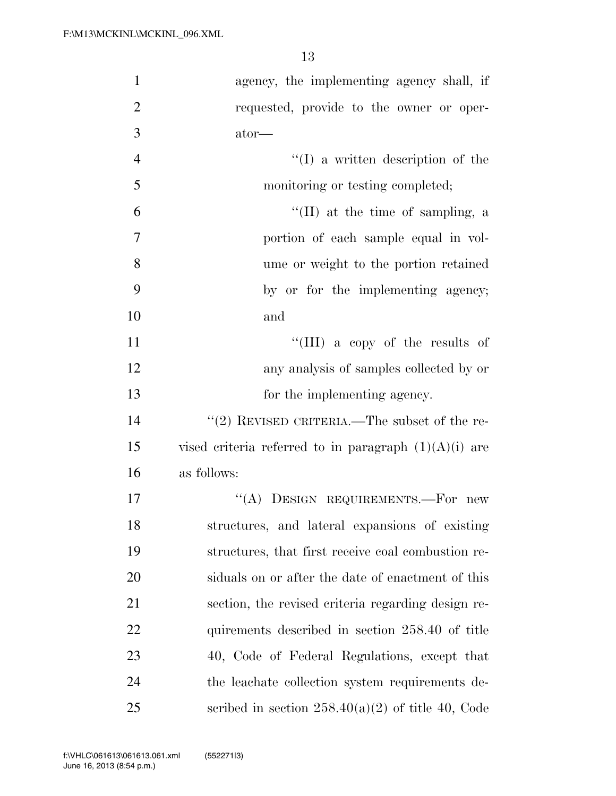| $\mathbf{1}$   | agency, the implementing agency shall, if               |
|----------------|---------------------------------------------------------|
| $\overline{2}$ | requested, provide to the owner or oper-                |
| 3              | ator-                                                   |
| $\overline{4}$ | $\lq\lq$ a written description of the                   |
| 5              | monitoring or testing completed;                        |
| 6              | $\lq\lq$ (II) at the time of sampling, a                |
| 7              | portion of each sample equal in vol-                    |
| 8              | ume or weight to the portion retained                   |
| 9              | by or for the implementing agency;                      |
| 10             | and                                                     |
| 11             | "(III) a copy of the results of                         |
| 12             | any analysis of samples collected by or                 |
| 13             | for the implementing agency.                            |
| 14             | "(2) REVISED CRITERIA.—The subset of the re-            |
| 15             | vised criteria referred to in paragraph $(1)(A)(i)$ are |
| 16             | as follows:                                             |
| 17             | "(A) DESIGN REQUIREMENTS.—For new                       |
| 18             | structures, and lateral expansions of existing          |
| 19             | structures, that first receive coal combustion re-      |
| 20             | siduals on or after the date of enactment of this       |
| 21             | section, the revised criteria regarding design re-      |
| 22             | quirements described in section 258.40 of title         |
| 23             | 40, Code of Federal Regulations, except that            |
| 24             | the leachate collection system requirements de-         |
| 25             | scribed in section $258.40(a)(2)$ of title 40, Code     |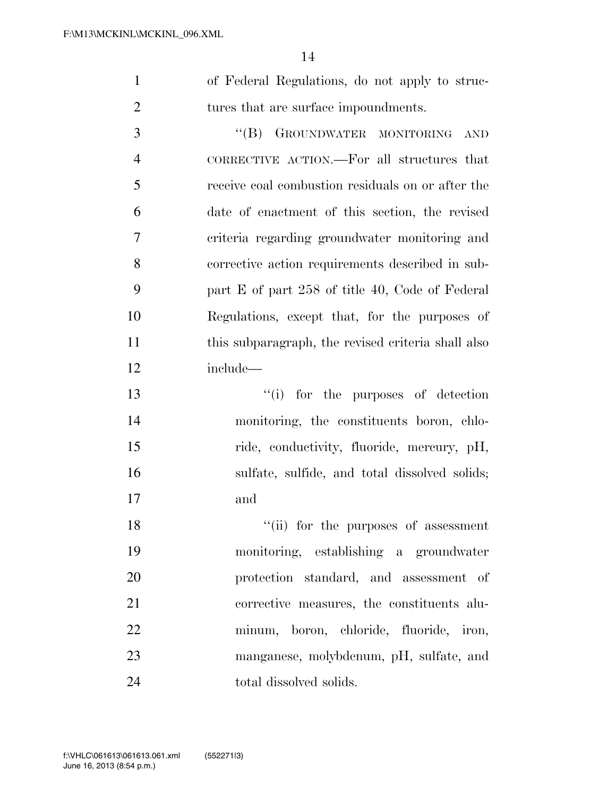of Federal Regulations, do not apply to struc-2 tures that are surface impoundments.

3 "(B) GROUNDWATER MONITORING AND CORRECTIVE ACTION.—For all structures that receive coal combustion residuals on or after the date of enactment of this section, the revised criteria regarding groundwater monitoring and corrective action requirements described in sub- part E of part 258 of title 40, Code of Federal Regulations, except that, for the purposes of this subparagraph, the revised criteria shall also include—

 ''(i) for the purposes of detection monitoring, the constituents boron, chlo-15 ride, conductivity, fluoride, mercury, pH, sulfate, sulfide, and total dissolved solids; and

18 ''(ii) for the purposes of assessment monitoring, establishing a groundwater protection standard, and assessment of corrective measures, the constituents alu- minum, boron, chloride, fluoride, iron, manganese, molybdenum, pH, sulfate, and 24 total dissolved solids.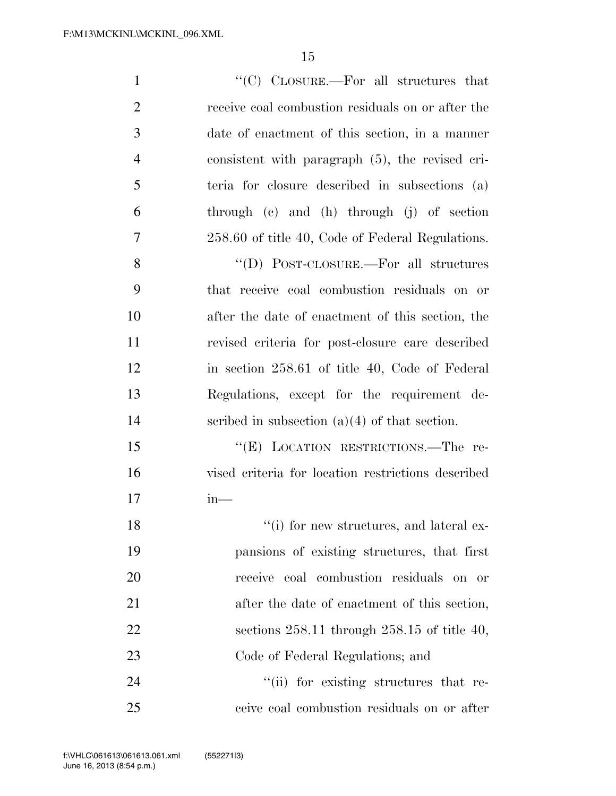| $\mathbf{1}$   | "(C) $C_{\text{LOSURE}}$ . For all structures that |
|----------------|----------------------------------------------------|
| $\overline{2}$ | receive coal combustion residuals on or after the  |
| 3              | date of enactment of this section, in a manner     |
| $\overline{4}$ | consistent with paragraph $(5)$ , the revised cri- |
| 5              | teria for closure described in subsections (a)     |
| 6              | through (c) and (h) through (j) of section         |
| 7              | 258.60 of title 40, Code of Federal Regulations.   |
| 8              | "(D) POST-CLOSURE.—For all structures              |
| 9              | that receive coal combustion residuals on or       |
| 10             | after the date of enactment of this section, the   |
| 11             | revised criteria for post-closure care described   |
| 12             | in section 258.61 of title 40, Code of Federal     |
| 13             | Regulations, except for the requirement de-        |
| 14             | scribed in subsection $(a)(4)$ of that section.    |
| 15             | "(E) LOCATION RESTRICTIONS.—The re-                |
| 16             | vised criteria for location restrictions described |
| 17             | $in-$                                              |
| 18             | $``(i)$ for new structures, and lateral ex-        |
| 19             | pansions of existing structures, that first        |
| 20             | receive coal combustion residuals on or            |
| 21             | after the date of enactment of this section,       |
| 22             | sections $258.11$ through $258.15$ of title 40,    |
| 23             | Code of Federal Regulations; and                   |
| 24             | "(ii) for existing structures that re-             |
| 25             | ceive coal combustion residuals on or after        |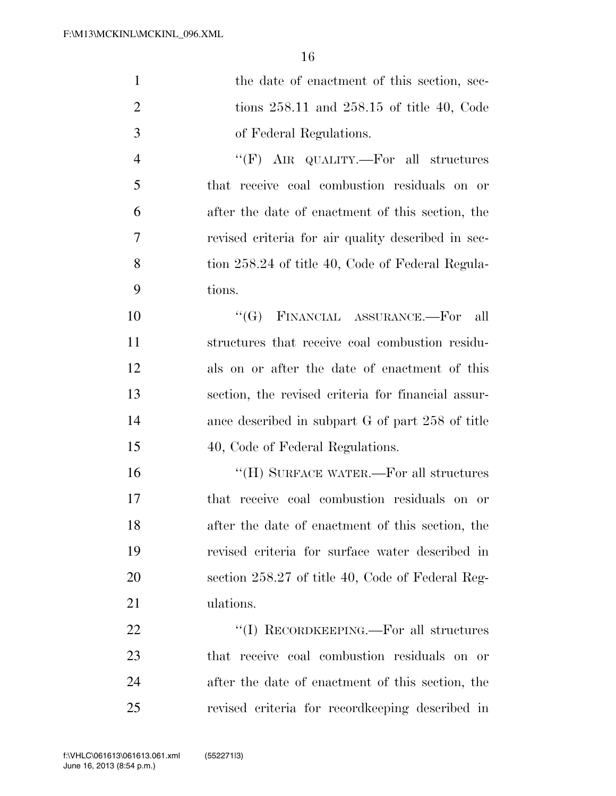| $\mathbf{1}$   | the date of enactment of this section, sec-        |
|----------------|----------------------------------------------------|
| $\overline{2}$ | tions $258.11$ and $258.15$ of title 40, Code      |
| 3              | of Federal Regulations.                            |
| $\overline{4}$ | " $(F)$ AIR QUALITY.—For all structures            |
| 5              | that receive coal combustion residuals on or       |
| 6              | after the date of enactment of this section, the   |
| 7              | revised criteria for air quality described in sec- |
| 8              | tion 258.24 of title 40, Code of Federal Regula-   |
| 9              | tions.                                             |
| 10             | FINANCIAL ASSURANCE.--For<br>$\lq\lq (G)$<br>all   |
| 11             | structures that receive coal combustion residu-    |
| 12             | als on or after the date of enactment of this      |
| 13             | section, the revised criteria for financial assur- |
| 14             | ance described in subpart G of part 258 of title   |
| 15             | 40, Code of Federal Regulations.                   |
| 16             | "(H) SURFACE WATER.—For all structures             |
| 17             | that receive coal combustion residuals on or       |
| 18             | after the date of enactment of this section, the   |
| 19             | revised criteria for surface water described in    |
| 20             | section 258.27 of title 40, Code of Federal Reg-   |
| 21             | ulations.                                          |
| 22             | "(I) RECORDKEEPING.—For all structures             |
| 23             | that receive coal combustion residuals on or       |
| 24             | after the date of enactment of this section, the   |
| 25             | revised criteria for record keeping described in   |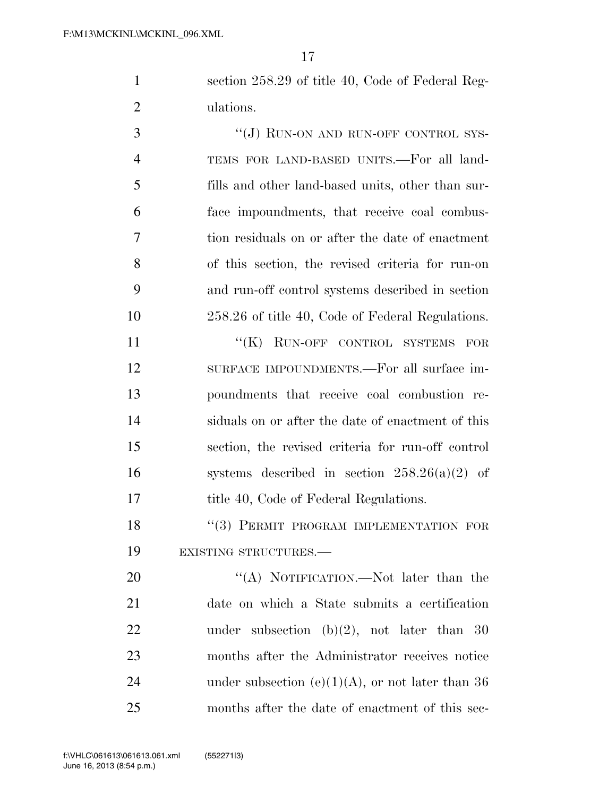section 258.29 of title 40, Code of Federal Reg-ulations.

3 "(J) RUN-ON AND RUN-OFF CONTROL SYS- TEMS FOR LAND-BASED UNITS.—For all land- fills and other land-based units, other than sur- face impoundments, that receive coal combus- tion residuals on or after the date of enactment of this section, the revised criteria for run-on and run-off control systems described in section 258.26 of title 40, Code of Federal Regulations.

11 "(K) RUN-OFF CONTROL SYSTEMS FOR SURFACE IMPOUNDMENTS.—For all surface im- poundments that receive coal combustion re- siduals on or after the date of enactment of this section, the revised criteria for run-off control 16 systems described in section  $258.26(a)(2)$  of 17 title 40, Code of Federal Regulations.

18 "(3) PERMIT PROGRAM IMPLEMENTATION FOR EXISTING STRUCTURES.—

20 "(A) NOTIFICATION.—Not later than the date on which a State submits a certification 22 under subsection (b)(2), not later than 30 months after the Administrator receives notice 24 under subsection  $(e)(1)(A)$ , or not later than 36 months after the date of enactment of this sec-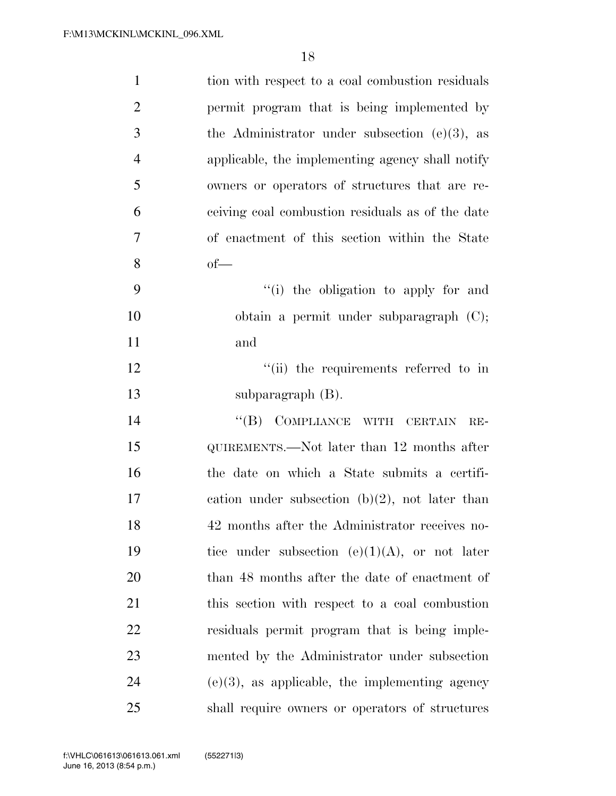| $\mathbf{1}$   | tion with respect to a coal combustion residuals  |
|----------------|---------------------------------------------------|
| $\overline{2}$ | permit program that is being implemented by       |
| 3              | the Administrator under subsection $(e)(3)$ , as  |
| $\overline{4}$ | applicable, the implementing agency shall notify  |
| 5              | owners or operators of structures that are re-    |
| 6              | ceiving coal combustion residuals as of the date  |
| 7              | of enactment of this section within the State     |
| 8              | $of$ —                                            |
| 9              | "(i) the obligation to apply for and              |
| 10             | obtain a permit under subparagraph $(C)$ ;        |
| 11             | and                                               |
| 12             | "(ii) the requirements referred to in             |
| 13             | subparagraph (B).                                 |
| 14             | "(B) COMPLIANCE WITH CERTAIN<br>$RE-$             |
| 15             | QUIREMENTS.—Not later than 12 months after        |
| 16             | the date on which a State submits a certifi-      |
| 17             | cation under subsection $(b)(2)$ , not later than |
| 18             | 42 months after the Administrator receives no-    |
| 19             | tice under subsection $(e)(1)(A)$ , or not later  |
| 20             | than 48 months after the date of enactment of     |
| 21             | this section with respect to a coal combustion    |
| 22             | residuals permit program that is being imple-     |
| 23             | mented by the Administrator under subsection      |
| 24             | $(e)(3)$ , as applicable, the implementing agency |
| 25             | shall require owners or operators of structures   |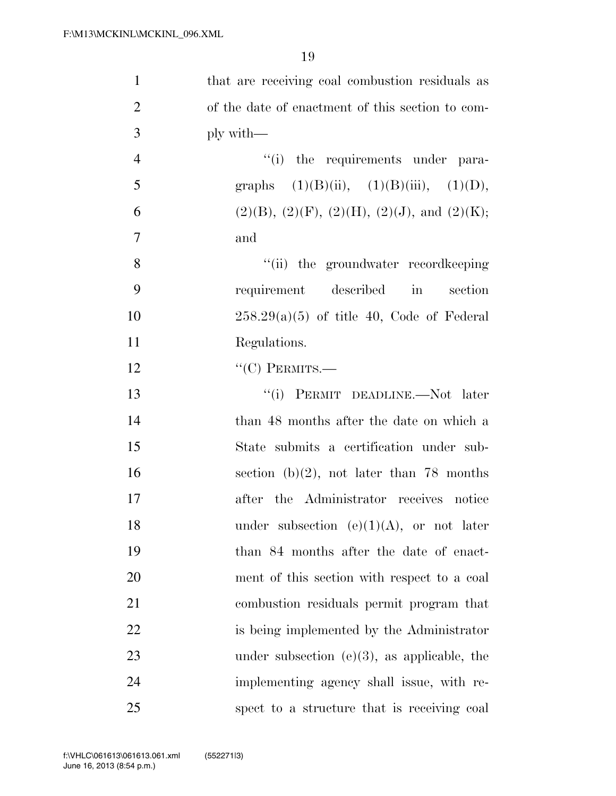| $\mathbf{1}$   | that are receiving coal combustion residuals as            |
|----------------|------------------------------------------------------------|
| $\overline{2}$ | of the date of enactment of this section to com-           |
| 3              | ply with—                                                  |
| $\overline{4}$ | "(i) the requirements under para-                          |
| 5              | graphs $(1)(B)(ii)$ , $(1)(B)(iii)$ , $(1)(D)$ ,           |
| 6              | $(2)(B)$ , $(2)(F)$ , $(2)(H)$ , $(2)(J)$ , and $(2)(K)$ ; |
| 7              | and                                                        |
| 8              | "(ii) the groundwater record keeping                       |
| 9              | requirement described in<br>section                        |
| 10             | $258.29(a)(5)$ of title 40, Code of Federal                |
| 11             | Regulations.                                               |
| 12             | $``(C)$ PERMITS.—                                          |
| 13             | "(i) PERMIT DEADLINE.—Not later                            |
| 14             | than 48 months after the date on which a                   |
| 15             | State submits a certification under sub-                   |
| 16             | section (b)(2), not later than 78 months                   |
| 17             | after the Administrator receives notice                    |
| 18             | under subsection $(e)(1)(A)$ , or not later                |
| 19             | than 84 months after the date of enact-                    |
| 20             | ment of this section with respect to a coal                |
| 21             | combustion residuals permit program that                   |
| 22             | is being implemented by the Administrator                  |
| 23             | under subsection (e) $(3)$ , as applicable, the            |
| 24             | implementing agency shall issue, with re-                  |
| 25             | spect to a structure that is receiving coal                |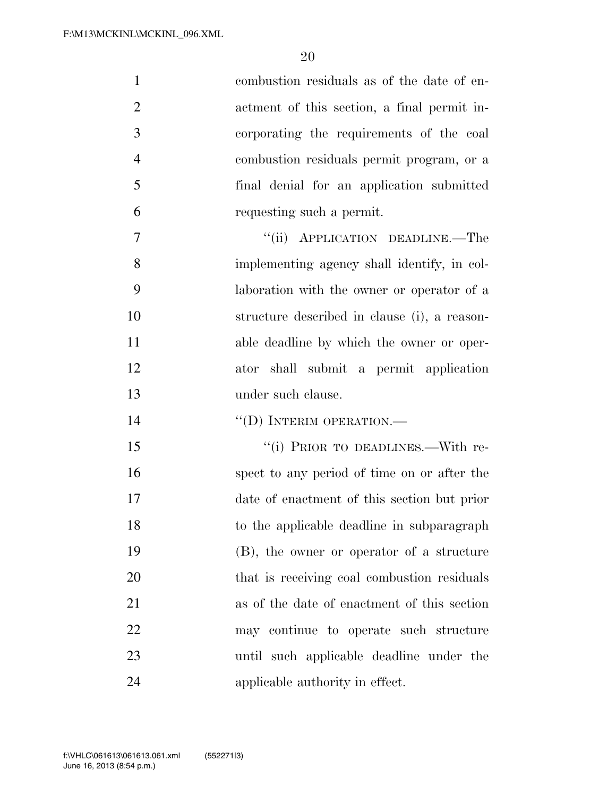| $\mathbf{1}$   | combustion residuals as of the date of en-   |
|----------------|----------------------------------------------|
| $\overline{2}$ | actment of this section, a final permit in-  |
| 3              | corporating the requirements of the coal     |
| $\overline{4}$ | combustion residuals permit program, or a    |
| 5              | final denial for an application submitted    |
| 6              | requesting such a permit.                    |
| $\overline{7}$ | "(ii) APPLICATION DEADLINE.—The              |
| 8              | implementing agency shall identify, in col-  |
| 9              | laboration with the owner or operator of a   |
| 10             | structure described in clause (i), a reason- |
| 11             | able deadline by which the owner or oper-    |
| 12             | ator shall submit a permit application       |
| 13             | under such clause.                           |
| 14             | "(D) INTERIM OPERATION.—                     |
| 15             | "(i) PRIOR TO DEADLINES.—With re-            |
| 16             | spect to any period of time on or after the  |
| 17             | date of enactment of this section but prior  |
| 18             | to the applicable deadline in subparagraph   |
| 19             | (B), the owner or operator of a structure    |
| 20             | that is receiving coal combustion residuals  |
| 21             | as of the date of enactment of this section  |
| 22             | may continue to operate such structure       |
| 23             | until such applicable deadline under the     |
| 24             | applicable authority in effect.              |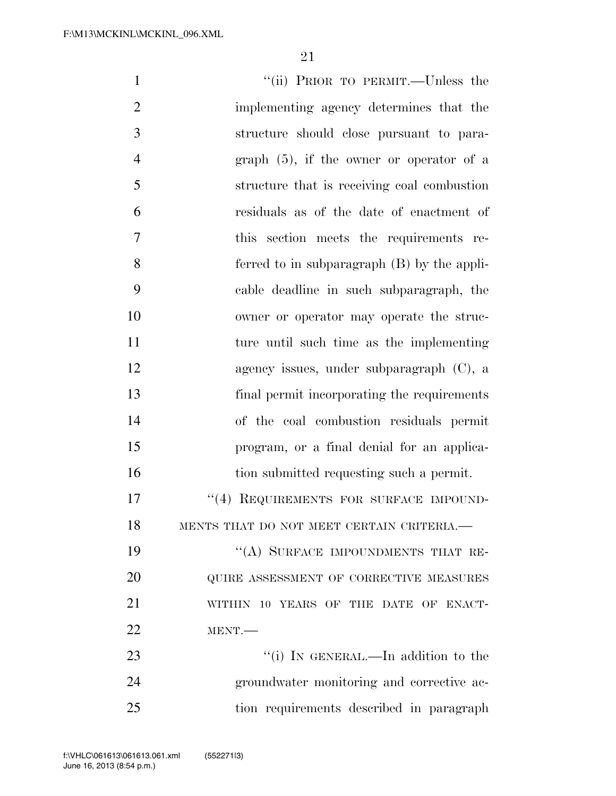| $\mathbf{1}$   | "(ii) PRIOR TO PERMIT.—Unless the           |
|----------------|---------------------------------------------|
| $\overline{2}$ | implementing agency determines that the     |
| 3              | structure should close pursuant to para-    |
| $\overline{4}$ | graph $(5)$ , if the owner or operator of a |
| 5              | structure that is receiving coal combustion |
| 6              | residuals as of the date of enactment of    |
| $\tau$         | this section meets the requirements re-     |
| 8              | ferred to in subparagraph (B) by the appli- |
| 9              | cable deadline in such subparagraph, the    |
| 10             | owner or operator may operate the struc-    |
| 11             | ture until such time as the implementing    |
| 12             | agency issues, under subparagraph $(C)$ , a |
| 13             | final permit incorporating the requirements |
| 14             | of the coal combustion residuals permit     |
| 15             | program, or a final denial for an applica-  |
| 16             | tion submitted requesting such a permit.    |
| 17             | "(4) REQUIREMENTS FOR SURFACE IMPOUND-      |
| 18             | MENTS THAT DO NOT MEET CERTAIN CRITERIA.-   |
| 19             | "(A) SURFACE IMPOUNDMENTS THAT RE-          |
| 20             | QUIRE ASSESSMENT OF CORRECTIVE MEASURES     |
| 21             | WITHIN 10 YEARS OF THE DATE OF ENACT-       |
| 22             | MENT.                                       |
| 23             | "(i) IN GENERAL.—In addition to the         |
| 24             | groundwater monitoring and corrective ac-   |
| 25             | tion requirements described in paragraph    |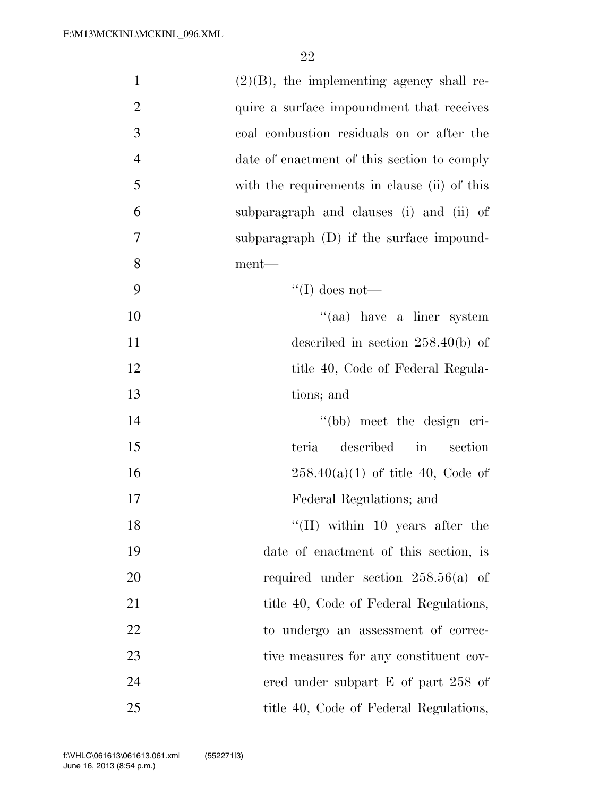| $\mathbf{1}$   | $(2)(B)$ , the implementing agency shall re- |
|----------------|----------------------------------------------|
| $\overline{2}$ | quire a surface impoundment that receives    |
| 3              | coal combustion residuals on or after the    |
| $\overline{4}$ | date of enactment of this section to comply  |
| 5              | with the requirements in clause (ii) of this |
| 6              | subparagraph and clauses (i) and (ii) of     |
| 7              | subparagraph (D) if the surface impound-     |
| 8              | ment—                                        |
| 9              | $\lq\lq$ (I) does not—                       |
| 10             | "(aa) have a liner system                    |
| 11             | described in section $258.40(b)$ of          |
| 12             | title 40, Code of Federal Regula-            |
| 13             | tions; and                                   |
| 14             | "(bb) meet the design cri-                   |
| 15             | described in<br>teria<br>section             |
| 16             | $258.40(a)(1)$ of title 40, Code of          |
| 17             | Federal Regulations; and                     |
| 18             | $\lq\lq$ (II) within 10 years after the      |
| 19             | date of enactment of this section, is        |
| 20             | required under section $258.56(a)$ of        |
| 21             | title 40, Code of Federal Regulations,       |
| 22             | to undergo an assessment of correc-          |
| 23             | tive measures for any constituent cov-       |
| 24             | ered under subpart $E$ of part 258 of        |
| 25             | title 40, Code of Federal Regulations,       |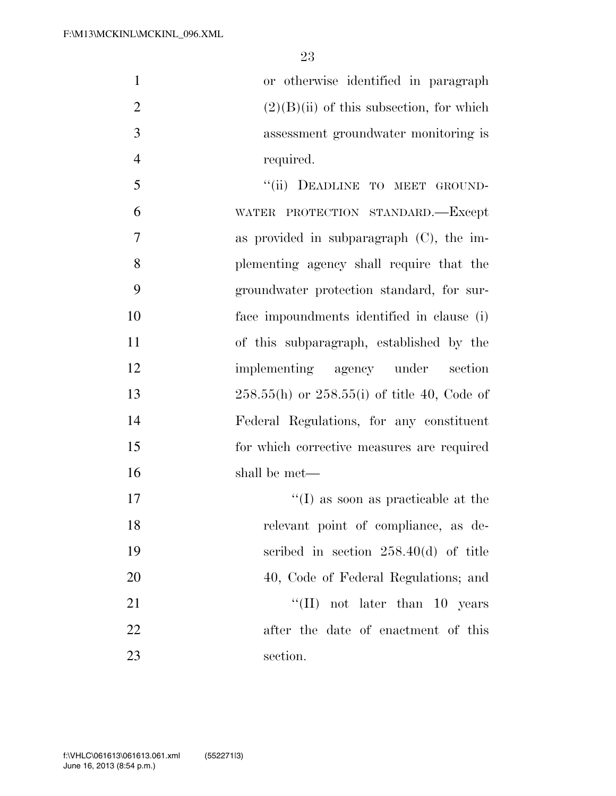or otherwise identified in paragraph 2 (2)(B)(ii) of this subsection, for which assessment groundwater monitoring is 4 required.

5 "(ii) DEADLINE TO MEET GROUND- WATER PROTECTION STANDARD.—Except as provided in subparagraph (C), the im- plementing agency shall require that the groundwater protection standard, for sur- face impoundments identified in clause (i) of this subparagraph, established by the implementing agency under section 258.55(h) or 258.55(i) of title 40, Code of Federal Regulations, for any constituent for which corrective measures are required shall be met—  $\text{``(I)}$  as soon as practicable at the

 relevant point of compliance, as de- scribed in section 258.40(d) of title 20 40, Code of Federal Regulations; and 21 ''(II) not later than 10 years after the date of enactment of this section.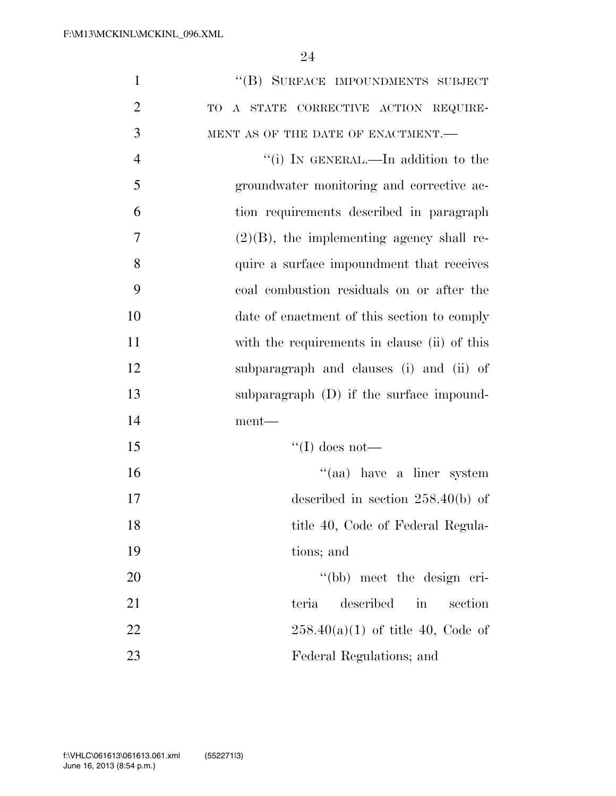| $\mathbf{1}$   | "(B) SURFACE IMPOUNDMENTS SUBJECT                    |
|----------------|------------------------------------------------------|
| $\overline{2}$ | A STATE CORRECTIVE ACTION REQUIRE-<br>TO             |
| 3              | MENT AS OF THE DATE OF ENACTMENT.-                   |
| $\overline{4}$ | "(i) IN GENERAL.—In addition to the                  |
| 5              | groundwater monitoring and corrective ac-            |
| 6              | tion requirements described in paragraph             |
| $\overline{7}$ | $(2)(B)$ , the implementing agency shall re-         |
| 8              | quire a surface impoundment that receives            |
| 9              | coal combustion residuals on or after the            |
| 10             | date of enactment of this section to comply          |
| 11             | with the requirements in clause (ii) of this         |
| 12             | subparagraph and clauses (i) and (ii) of             |
| 13             | subparagraph $(D)$ if the surface impound-           |
| 14             | ment—                                                |
| 15             | "(I) does not—                                       |
| 16             | "(aa) have a liner system                            |
| 17             | described in section $258.40(b)$ of                  |
| 18             | title 40, Code of Federal Regula-                    |
| 19             | tions; and                                           |
| 20             | "(bb) meet the design cri-                           |
| 21             | described<br>$\operatorname{in}$<br>teria<br>section |
| 22             | $258.40(a)(1)$ of title 40, Code of                  |
| 23             | Federal Regulations; and                             |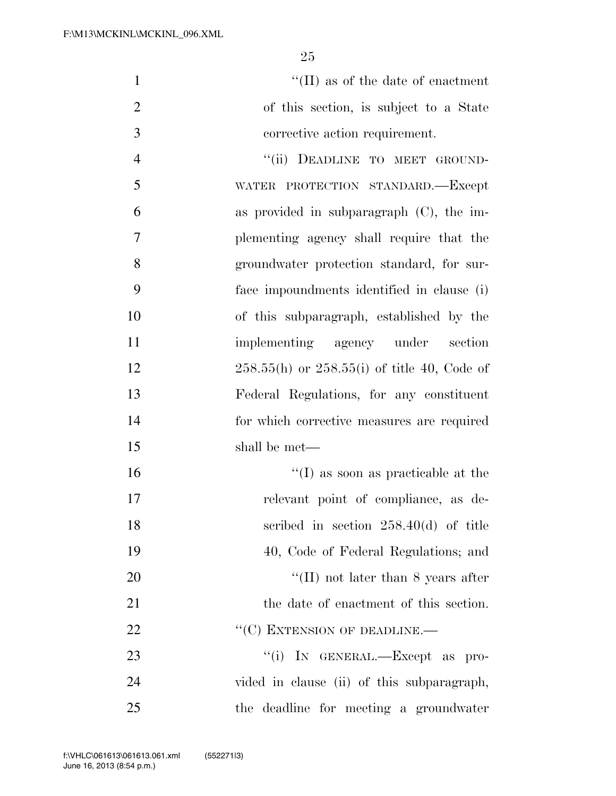$\text{``(II)}$  as of the date of enactment of this section, is subject to a State corrective action requirement. 4 "(ii) DEADLINE TO MEET GROUND-

 WATER PROTECTION STANDARD.—Except as provided in subparagraph (C), the im- plementing agency shall require that the groundwater protection standard, for sur- face impoundments identified in clause (i) of this subparagraph, established by the implementing agency under section 258.55(h) or 258.55(i) of title 40, Code of Federal Regulations, for any constituent for which corrective measures are required shall be met—

 ''(I) as soon as practicable at the relevant point of compliance, as de- scribed in section 258.40(d) of title 40, Code of Federal Regulations; and 20 ''(II) not later than 8 years after the date of enactment of this section. 22 "'(C) EXTENSION OF DEADLINE.  $\frac{1}{1}$  In GENERAL.—Except as pro- vided in clause (ii) of this subparagraph, the deadline for meeting a groundwater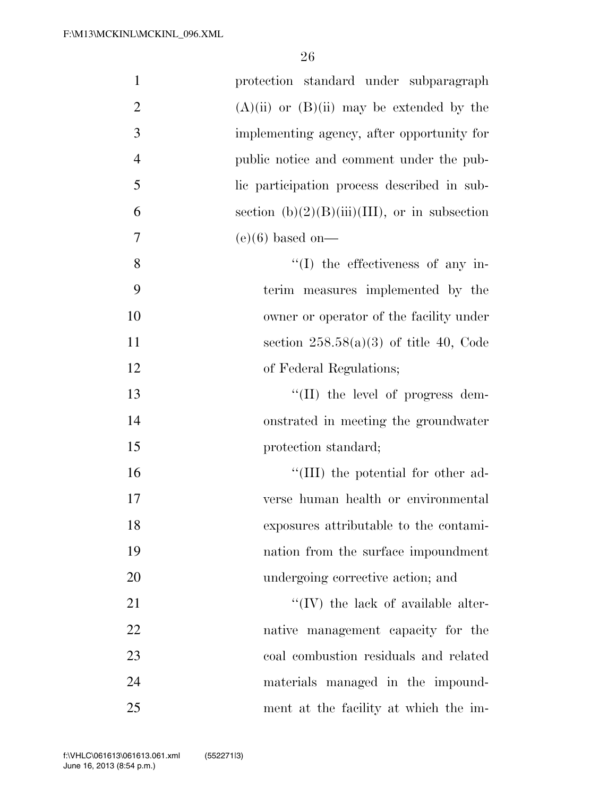| $\mathbf{1}$   | protection standard under subparagraph           |
|----------------|--------------------------------------------------|
| $\overline{2}$ | $(A)(ii)$ or $(B)(ii)$ may be extended by the    |
| $\mathfrak{Z}$ | implementing agency, after opportunity for       |
| $\overline{4}$ | public notice and comment under the pub-         |
| 5              | lic participation process described in sub-      |
| 6              | section $(b)(2)(B)(iii)(III)$ , or in subsection |
| 7              | $(e)(6)$ based on-                               |
| 8              | $\lq\lq$ the effectiveness of any in-            |
| 9              | terim measures implemented by the                |
| 10             | owner or operator of the facility under          |
| 11             | section $258.58(a)(3)$ of title 40, Code         |
| 12             | of Federal Regulations;                          |
| 13             | "(II) the level of progress dem-                 |
| 14             | onstrated in meeting the groundwater             |
| 15             | protection standard;                             |
| 16             | $\lq\lq$ (III) the potential for other ad-       |
| 17             | verse human health or environmental              |
| 18             | exposures attributable to the contami-           |
| 19             | nation from the surface impoundment              |
| 20             | undergoing corrective action; and                |
| 21             | $\lq\lq$ (IV) the lack of available alter-       |
| 22             | native management capacity for the               |
| 23             | coal combustion residuals and related            |
| 24             | materials managed in the impound-                |
| 25             | ment at the facility at which the im-            |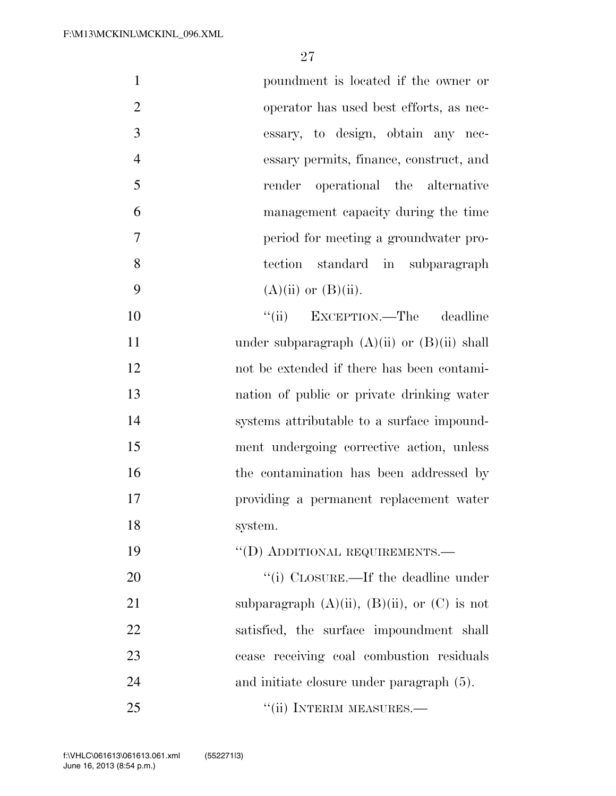| poundment is located if the owner or                      |  |
|-----------------------------------------------------------|--|
| 2<br>operator has used best efforts, as nec-              |  |
| 3<br>essary, to design, obtain any nec-                   |  |
| $\overline{4}$<br>essary permits, finance, construct, and |  |
| 5<br>render operational the alternative                   |  |
| 6<br>management capacity during the time                  |  |
| $\overline{7}$<br>period for meeting a groundwater pro-   |  |
| 8<br>tection standard in subparagraph                     |  |
| 9<br>$(A)(ii)$ or $(B)(ii)$ .                             |  |
| EXCEPTION.—The deadline<br>10<br>``(ii)                   |  |
| 11<br>under subparagraph $(A)(ii)$ or $(B)(ii)$ shall     |  |

apn  $(A)(II)$  or  $(D)(II)$  not be extended if there has been contami- nation of public or private drinking water systems attributable to a surface impound- ment undergoing corrective action, unless 16 the contamination has been addressed by providing a permanent replacement water system.

20  $\frac{1}{2}$  (i) CLOSURE.—If the deadline under 21 subparagraph  $(A)(ii)$ ,  $(B)(ii)$ , or  $(C)$  is not satisfied, the surface impoundment shall cease receiving coal combustion residuals 24 and initiate closure under paragraph  $(5)$ . 25 "(ii) INTERIM MEASURES.—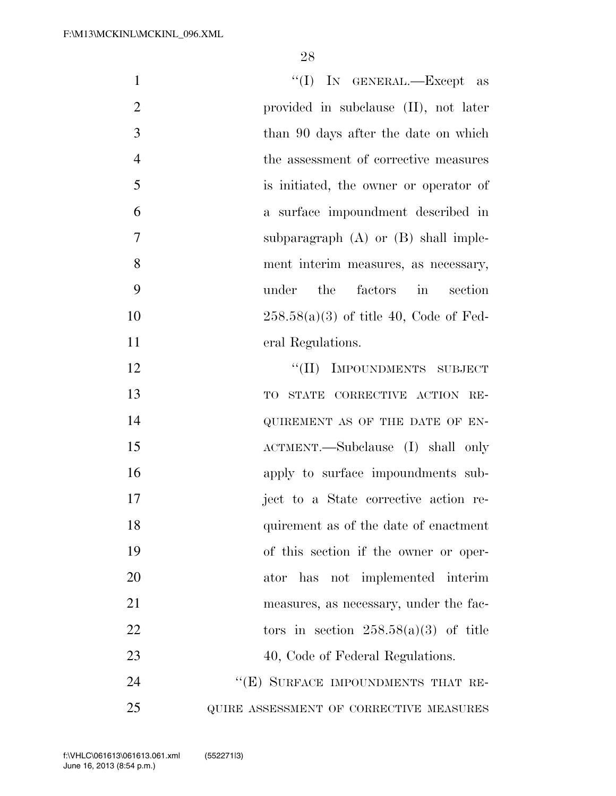| $\mathbf{1}$   | "(I) IN GENERAL.—Except as               |
|----------------|------------------------------------------|
| $\overline{2}$ | provided in subclause (II), not later    |
| 3              | than 90 days after the date on which     |
| $\overline{4}$ | the assessment of corrective measures    |
| 5              | is initiated, the owner or operator of   |
| 6              | a surface impoundment described in       |
| 7              | subparagraph $(A)$ or $(B)$ shall imple- |
| 8              | ment interim measures, as necessary,     |
| 9              | the<br>factors in<br>under<br>section    |
| 10             | $258.58(a)(3)$ of title 40, Code of Fed- |
| 11             | eral Regulations.                        |
| 12             | "(II) IMPOUNDMENTS SUBJECT               |
| 13             | TO STATE CORRECTIVE ACTION RE-           |
| 14             | QUIREMENT AS OF THE DATE OF EN-          |
| 15             | ACTMENT.—Subclause (I) shall only        |
| 16             | apply to surface impoundments sub-       |
| 17             | ject to a State corrective action re-    |
| 18             | quirement as of the date of enactment    |
| 19             | of this section if the owner or oper-    |
| 20             | ator has not implemented interim         |
| 21             | measures, as necessary, under the fac-   |
| 22             | tors in section $258.58(a)(3)$ of title  |
| 23             | 40, Code of Federal Regulations.         |
| 24             | "(E) SURFACE IMPOUNDMENTS THAT RE-       |
| 25             | QUIRE ASSESSMENT OF CORRECTIVE MEASURES  |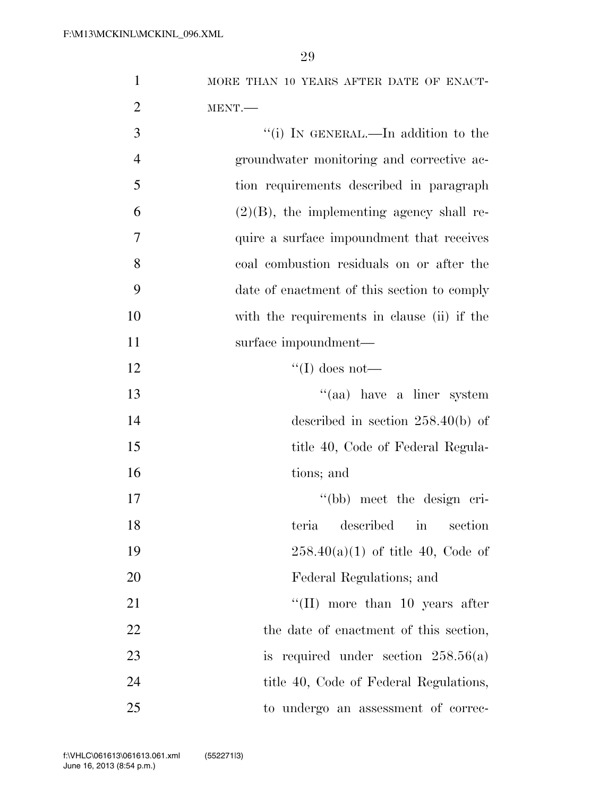| $\mathbf{1}$   | MORE THAN 10 YEARS AFTER DATE OF ENACT-      |
|----------------|----------------------------------------------|
| $\overline{2}$ | MENT.                                        |
| 3              | "(i) IN GENERAL.—In addition to the          |
| $\overline{4}$ | groundwater monitoring and corrective ac-    |
| 5              | tion requirements described in paragraph     |
| 6              | $(2)(B)$ , the implementing agency shall re- |
| $\overline{7}$ | quire a surface impoundment that receives    |
| 8              | coal combustion residuals on or after the    |
| 9              | date of enactment of this section to comply  |
| 10             | with the requirements in clause (ii) if the  |
| 11             | surface impoundment—                         |
| 12             | "(I) does not—                               |
| 13             | $\cdot$ (aa) have a liner system             |
| 14             | described in section $258.40(b)$ of          |
| 15             | title 40, Code of Federal Regula-            |
| 16             | tions; and                                   |
| 17             | "(bb) meet the design cri-                   |
| 18             | teria described in section                   |
| 19             | $258.40(a)(1)$ of title 40, Code of          |
| 20             | Federal Regulations; and                     |
| 21             | $\lq\lq$ (II) more than 10 years after       |
| 22             | the date of enactment of this section,       |
| 23             | is required under section $258.56(a)$        |
| 24             | title 40, Code of Federal Regulations,       |
| 25             | to undergo an assessment of correc-          |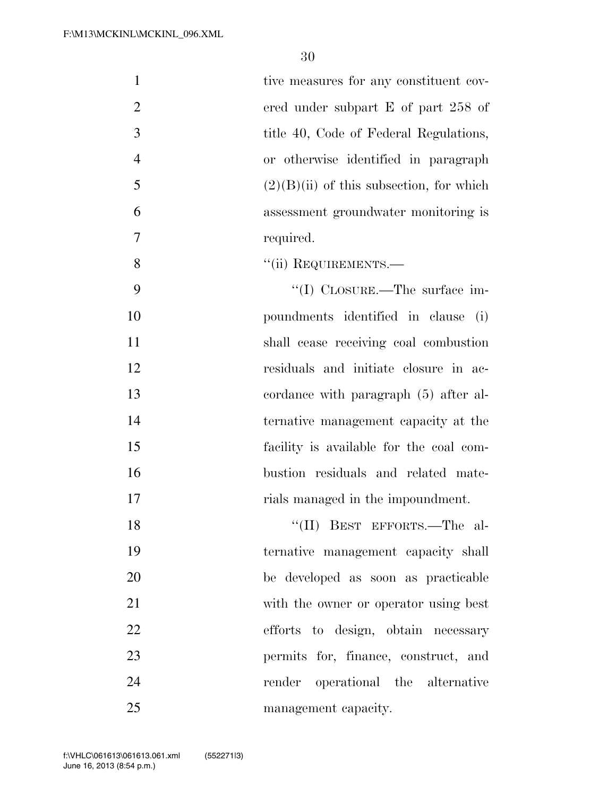| $\mathbf{1}$   | tive measures for any constituent cov-     |
|----------------|--------------------------------------------|
| $\overline{2}$ | ered under subpart $E$ of part 258 of      |
| 3              | title 40, Code of Federal Regulations,     |
| $\overline{4}$ | or otherwise identified in paragraph       |
| 5              | $(2)(B)(ii)$ of this subsection, for which |
| 6              | assessment groundwater monitoring is       |
| 7              | required.                                  |
| 8              | "(ii) REQUIREMENTS.-                       |
| 9              | $\lq(1)$ CLOSURE.—The surface im-          |
| 10             | poundments identified in clause<br>(i)     |
| 11             | shall cease receiving coal combustion      |
| 12             | residuals and initiate closure in ac-      |
| 13             | cordance with paragraph (5) after al-      |
| 14             | ternative management capacity at the       |
| 15             | facility is available for the coal com-    |
| 16             | bustion residuals and related mate-        |
| 17             | rials managed in the impoundment.          |
| 18             | "(II) BEST EFFORTS.—The al-                |
| 19             | ternative management capacity shall        |
| 20             | be developed as soon as practicable        |
| 21             | with the owner or operator using best      |
| 22             | efforts to design, obtain necessary        |
| 23             | permits for, finance, construct, and       |
| 24             | render operational the alternative         |
| 25             | management capacity.                       |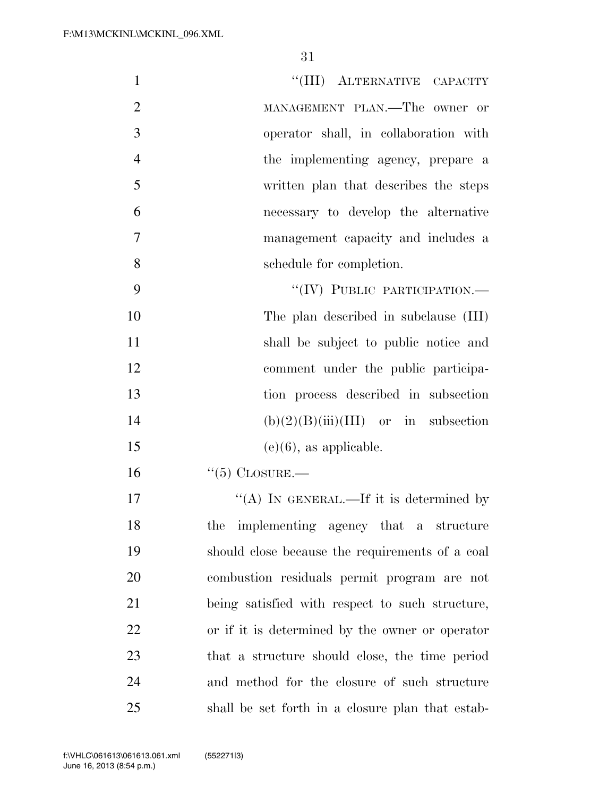| $\mathbf{1}$   | "(III) ALTERNATIVE CAPACITY                      |
|----------------|--------------------------------------------------|
| $\overline{2}$ | MANAGEMENT PLAN.—The owner or                    |
| 3              | operator shall, in collaboration with            |
| $\overline{4}$ | the implementing agency, prepare a               |
| 5              | written plan that describes the steps            |
| 6              | necessary to develop the alternative             |
| 7              | management capacity and includes a               |
| 8              | schedule for completion.                         |
| 9              | "(IV) PUBLIC PARTICIPATION.-                     |
| 10             | The plan described in subclause (III)            |
| 11             | shall be subject to public notice and            |
| 12             | comment under the public participa-              |
| 13             | tion process described in subsection             |
| 14             | $(b)(2)(B)(iii)(III)$ or in subsection           |
| 15             | $(e)(6)$ , as applicable.                        |
| 16             | $\lq(5)$ CLOSURE.—                               |
| 17             | "(A) IN GENERAL.—If it is determined by          |
| 18             | the implementing agency that a structure         |
| 19             | should close because the requirements of a coal  |
| 20             | combustion residuals permit program are not      |
| 21             | being satisfied with respect to such structure,  |
| 22             | or if it is determined by the owner or operator  |
| 23             | that a structure should close, the time period   |
| 24             | and method for the closure of such structure     |
| 25             | shall be set forth in a closure plan that estab- |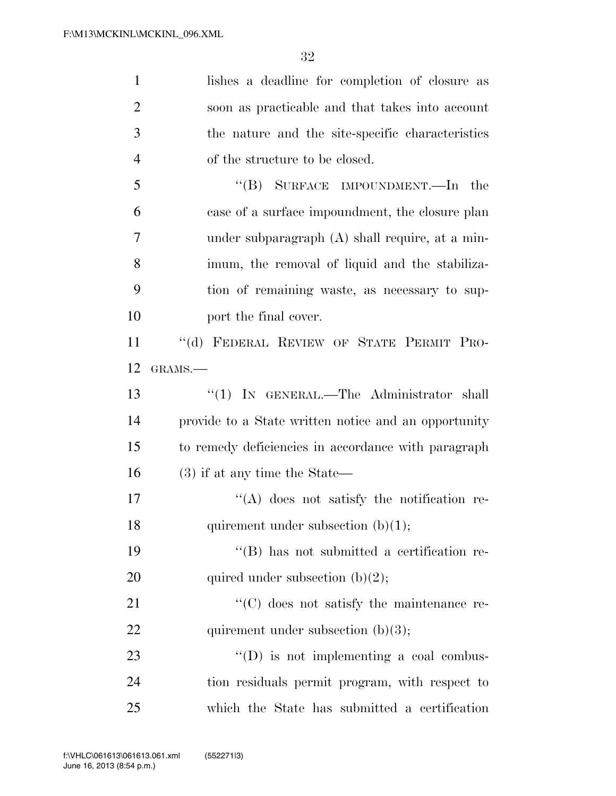| $\mathbf{1}$   | lishes a deadline for completion of closure as       |
|----------------|------------------------------------------------------|
| $\overline{2}$ | soon as practicable and that takes into account      |
| 3              | the nature and the site-specific characteristics     |
| $\overline{4}$ | of the structure to be closed.                       |
| 5              | "(B) SURFACE IMPOUNDMENT.—In the                     |
| 6              | case of a surface impoundment, the closure plan      |
| 7              | under subparagraph $(A)$ shall require, at a min-    |
| 8              | imum, the removal of liquid and the stabiliza-       |
| 9              | tion of remaining waste, as necessary to sup-        |
| 10             | port the final cover.                                |
| 11             | "(d) FEDERAL REVIEW OF STATE PERMIT PRO-             |
| 12             | GRAMS.-                                              |
| 13             | "(1) IN GENERAL.—The Administrator shall             |
| 14             | provide to a State written notice and an opportunity |
| 15             | to remedy deficiencies in accordance with paragraph  |
| 16             | $(3)$ if at any time the State—                      |
| 17             | "(A) does not satisfy the notification re-           |
| 18             | quirement under subsection $(b)(1)$ ;                |
| 19             | $\lq\lq$ (B) has not submitted a certification re-   |
| 20             | quired under subsection $(b)(2)$ ;                   |
| 21             | "(C) does not satisfy the maintenance re-            |
| 22             | quirement under subsection $(b)(3)$ ;                |
| 23             | $\lq\lq$ (D) is not implementing a coal combus-      |
| 24             | tion residuals permit program, with respect to       |
| 25             | which the State has submitted a certification        |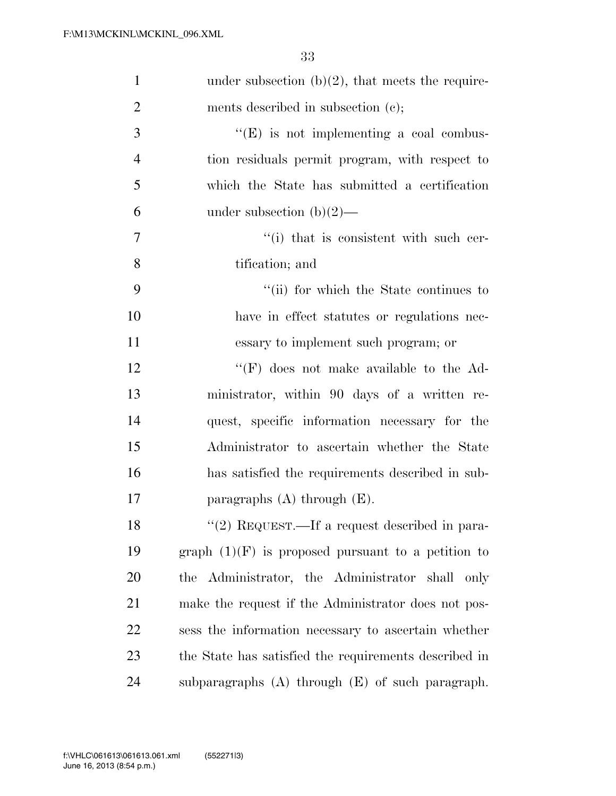| $\mathbf{1}$   | under subsection $(b)(2)$ , that meets the require-   |
|----------------|-------------------------------------------------------|
| $\overline{2}$ | ments described in subsection (c);                    |
| 3              | $\lq\lq(E)$ is not implementing a coal combus-        |
| $\overline{4}$ | tion residuals permit program, with respect to        |
| 5              | which the State has submitted a certification         |
| 6              | under subsection $(b)(2)$ —                           |
| 7              | $f'(i)$ that is consistent with such cer-             |
| 8              | tification; and                                       |
| 9              | "(ii) for which the State continues to                |
| 10             | have in effect statutes or regulations nec-           |
| <sup>11</sup>  | essary to implement such program; or                  |
| 12             | $\lq\lq(F)$ does not make available to the Ad-        |
| 13             | ministrator, within 90 days of a written re-          |
| 14             | quest, specific information necessary for the         |
| 15             | Administrator to ascertain whether the State          |
| 16             | has satisfied the requirements described in sub-      |
| 17             | paragraphs $(A)$ through $(E)$ .                      |
| 18             | "(2) REQUEST.—If a request described in para-         |
| 19             | graph $(1)(F)$ is proposed pursuant to a petition to  |
| 20             | the Administrator, the Administrator shall only       |
| 21             | make the request if the Administrator does not pos-   |
| 22             | sess the information necessary to ascertain whether   |
| 23             | the State has satisfied the requirements described in |
| 24             | subparagraphs $(A)$ through $(E)$ of such paragraph.  |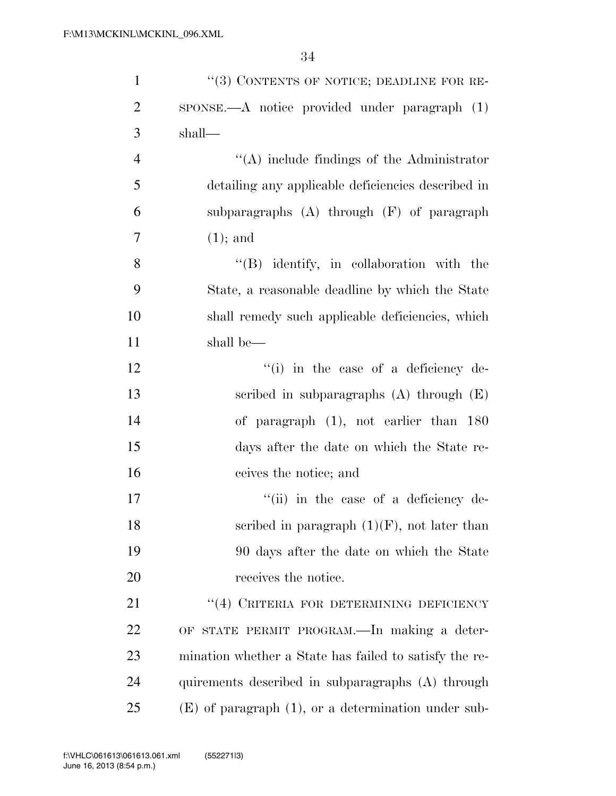| $\mathbf{1}$   | "(3) CONTENTS OF NOTICE; DEADLINE FOR RE-                        |
|----------------|------------------------------------------------------------------|
| $\overline{2}$ | $SPONSE$ $\longrightarrow$ notice provided under paragraph $(1)$ |
| 3              | shall—                                                           |
| $\overline{4}$ | $\lq\lq$ include findings of the Administrator                   |
| 5              | detailing any applicable deficiencies described in               |
| 6              | subparagraphs $(A)$ through $(F)$ of paragraph                   |
| 7              | $(1)$ ; and                                                      |
| 8              | $\lq\lq (B)$ identify, in collaboration with the                 |
| 9              | State, a reasonable deadline by which the State                  |
| 10             | shall remedy such applicable deficiencies, which                 |
| 11             | shall be—                                                        |
| 12             | "(i) in the case of a deficiency de-                             |
| 13             | scribed in subparagraphs $(A)$ through $(E)$                     |
| 14             | of paragraph (1), not earlier than 180                           |
| 15             | days after the date on which the State re-                       |
| 16             | ceives the notice; and                                           |
| 17             | "(ii) in the case of a deficiency de-                            |
| 18             | scribed in paragraph $(1)(F)$ , not later than                   |
| 19             | 90 days after the date on which the State                        |
| 20             | receives the notice.                                             |
| 21             | "(4) CRITERIA FOR DETERMINING DEFICIENCY                         |
| 22             | OF STATE PERMIT PROGRAM.—In making a deter-                      |
| 23             | mination whether a State has failed to satisfy the re-           |
| 24             | quirements described in subparagraphs (A) through                |
| 25             | $(E)$ of paragraph $(1)$ , or a determination under sub-         |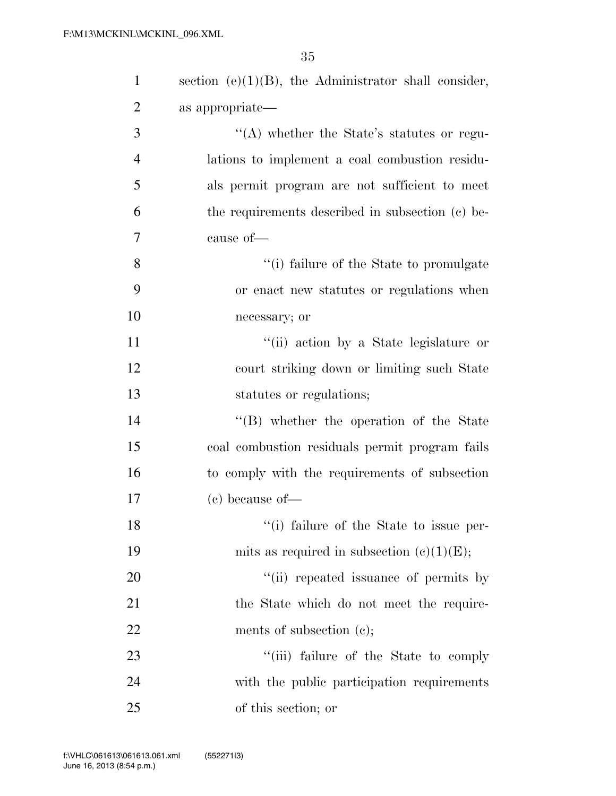| $\mathbf{1}$   | section $(e)(1)(B)$ , the Administrator shall consider, |
|----------------|---------------------------------------------------------|
| $\overline{2}$ | as appropriate—                                         |
| 3              | "(A) whether the State's statutes or regu-              |
| $\overline{4}$ | lations to implement a coal combustion residu-          |
| 5              | als permit program are not sufficient to meet           |
| 6              | the requirements described in subsection (c) be-        |
| 7              | cause of-                                               |
| 8              | "(i) failure of the State to promulgate                 |
| 9              | or enact new statutes or regulations when               |
| 10             | necessary; or                                           |
| 11             | "(ii) action by a State legislature or                  |
| 12             | court striking down or limiting such State              |
| 13             | statutes or regulations;                                |
| 14             | $\lq\lq (B)$ whether the operation of the State         |
| 15             | coal combustion residuals permit program fails          |
| 16             | to comply with the requirements of subsection           |
| 17             | $(e)$ because of —                                      |
| 18             | "(i) failure of the State to issue per-                 |
| 19             | mits as required in subsection $(c)(1)(E)$ ;            |
| 20             | "(ii) repeated issuance of permits by                   |
| 21             | the State which do not meet the require-                |
| 22             | ments of subsection $(e)$ ;                             |
| 23             | "(iii) failure of the State to comply                   |
| 24             | with the public participation requirements              |
| 25             | of this section; or                                     |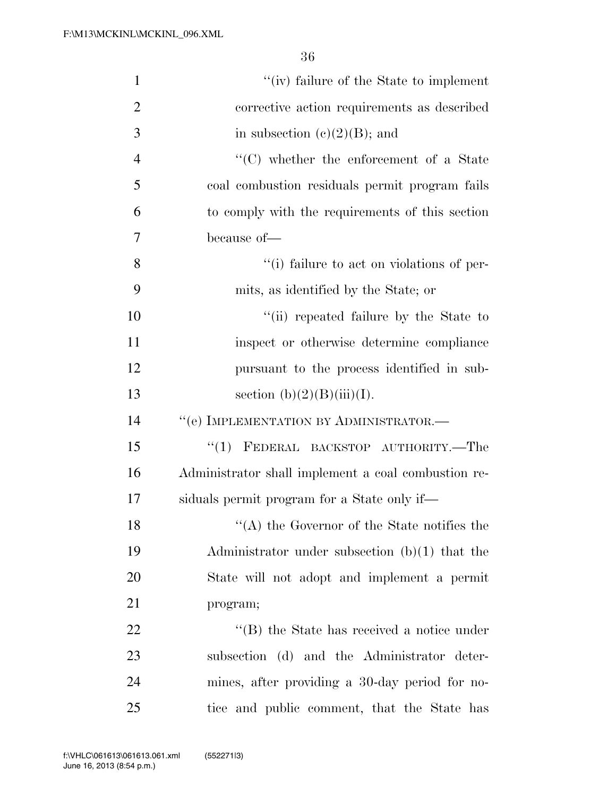| $\mathbf{1}$   | "(iv) failure of the State to implement             |
|----------------|-----------------------------------------------------|
| $\overline{2}$ | corrective action requirements as described         |
| 3              | in subsection $(e)(2)(B)$ ; and                     |
| $\overline{4}$ | $\lq\lq$ whether the enforcement of a State         |
| 5              | coal combustion residuals permit program fails      |
| 6              | to comply with the requirements of this section     |
| 7              | because of-                                         |
| 8              | "(i) failure to act on violations of per-           |
| 9              | mits, as identified by the State; or                |
| 10             | "(ii) repeated failure by the State to              |
| 11             | inspect or otherwise determine compliance           |
| 12             | pursuant to the process identified in sub-          |
| 13             | section $(b)(2)(B)(iii)(I)$ .                       |
| 14             | $``(e)$ IMPLEMENTATION BY ADMINISTRATOR.—           |
| 15             | FEDERAL BACKSTOP AUTHORITY.—The<br>``(1)            |
| 16             | Administrator shall implement a coal combustion re- |
| 17             | siduals permit program for a State only if—         |
| 18             | $\lq\lq$ the Governor of the State notifies the     |
| 19             | Administrator under subsection $(b)(1)$ that the    |
| 20             | State will not adopt and implement a permit         |
| 21             | program;                                            |
| 22             | "(B) the State has received a notice under          |
| 23             | subsection (d) and the Administrator deter-         |
| 24             | mines, after providing a 30-day period for no-      |
| 25             | tice and public comment, that the State has         |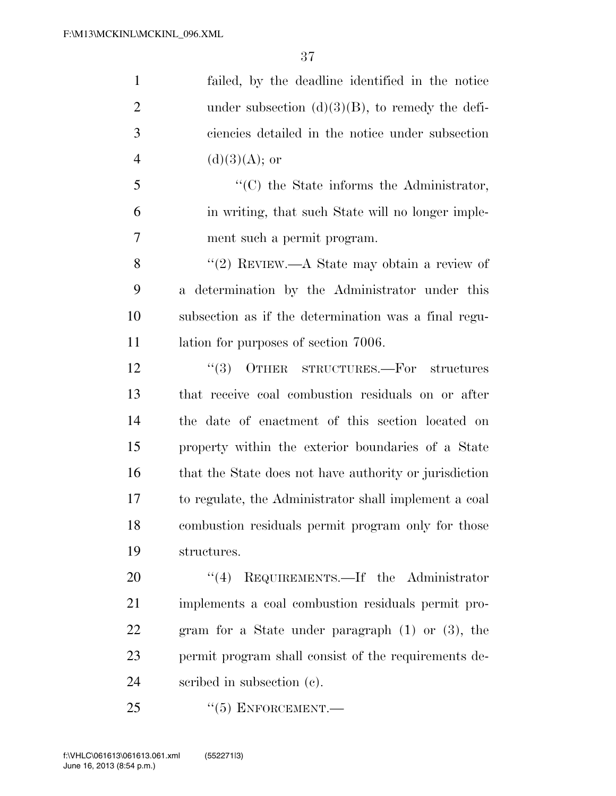| $\mathbf{1}$   | failed, by the deadline identified in the notice       |
|----------------|--------------------------------------------------------|
| $\overline{2}$ | under subsection $(d)(3)(B)$ , to remedy the defi-     |
| 3              | ciencies detailed in the notice under subsection       |
| $\overline{4}$ | $(d)(3)(A);$ or                                        |
| 5              | "(C) the State informs the Administrator,              |
| 6              | in writing, that such State will no longer imple-      |
| $\overline{7}$ | ment such a permit program.                            |
| 8              | "(2) REVIEW.—A State may obtain a review of            |
| 9              | a determination by the Administrator under this        |
| 10             | subsection as if the determination was a final regu-   |
| 11             | lation for purposes of section 7006.                   |
| 12             | $``(3)$ OTHER STRUCTURES.—For structures               |
| 13             | that receive coal combustion residuals on or after     |
| 14             | the date of enactment of this section located on       |
| 15             | property within the exterior boundaries of a State     |
| 16             | that the State does not have authority or jurisdiction |
| 17             | to regulate, the Administrator shall implement a coal  |
| 18             | combustion residuals permit program only for those     |
| 19             | structures.                                            |
| 20             | REQUIREMENTS.—If the Administrator<br>(4)              |
| 21             | implements a coal combustion residuals permit pro-     |
| 22             | gram for a State under paragraph $(1)$ or $(3)$ , the  |
| 23             | permit program shall consist of the requirements de-   |
| 24             | scribed in subsection (c).                             |
| 25             | $``(5)$ ENFORCEMENT.—                                  |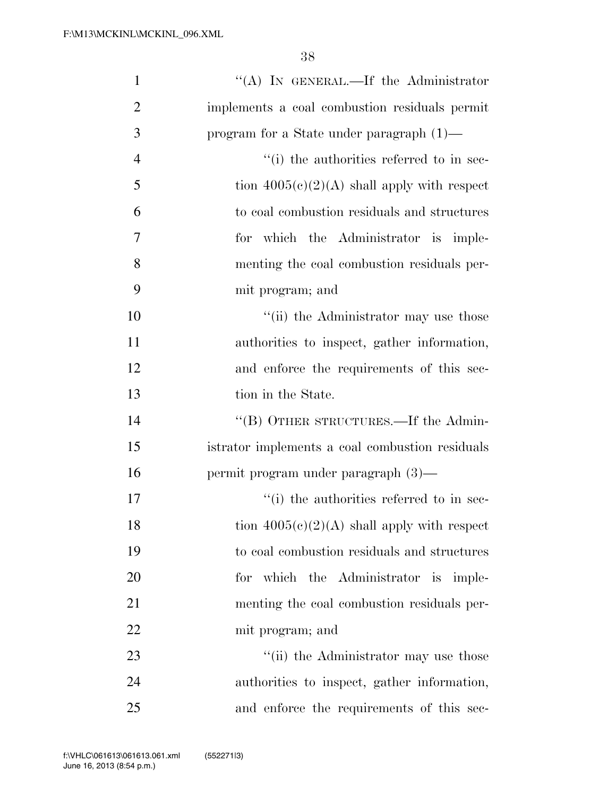| $\mathbf{1}$   | "(A) IN GENERAL.—If the Administrator           |
|----------------|-------------------------------------------------|
| $\overline{2}$ | implements a coal combustion residuals permit   |
| 3              | program for a State under paragraph $(1)$ —     |
| $\overline{4}$ | "(i) the authorities referred to in sec-        |
| 5              | tion $4005(e)(2)(A)$ shall apply with respect   |
| 6              | to coal combustion residuals and structures     |
| 7              | for which the Administrator is imple-           |
| 8              | menting the coal combustion residuals per-      |
| 9              | mit program; and                                |
| 10             | "(ii) the Administrator may use those           |
| 11             | authorities to inspect, gather information,     |
| 12             | and enforce the requirements of this sec-       |
| 13             | tion in the State.                              |
| 14             | "(B) OTHER STRUCTURES.—If the Admin-            |
| 15             | istrator implements a coal combustion residuals |
| 16             | permit program under paragraph (3)—             |
| 17             | "(i) the authorities referred to in sec-        |
| 18             | tion $4005(c)(2)(A)$ shall apply with respect   |
| 19             | to coal combustion residuals and structures     |
| 20             | which the Administrator is imple-<br>for        |
| 21             | menting the coal combustion residuals per-      |
| 22             | mit program; and                                |
| 23             | "(ii) the Administrator may use those           |
| 24             | authorities to inspect, gather information,     |
| 25             | and enforce the requirements of this sec-       |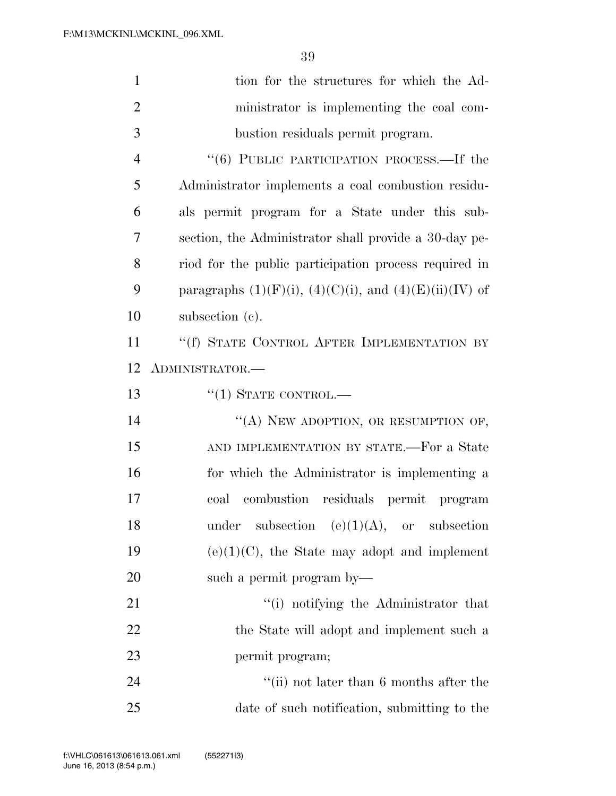| $\mathbf{1}$   | tion for the structures for which the Ad-                      |
|----------------|----------------------------------------------------------------|
| $\overline{2}$ | ministrator is implementing the coal com-                      |
| 3              | bustion residuals permit program.                              |
| $\overline{4}$ | "(6) PUBLIC PARTICIPATION PROCESS.—If the                      |
| 5              | Administrator implements a coal combustion residu-             |
| 6              | als permit program for a State under this sub-                 |
| 7              | section, the Administrator shall provide a 30-day pe-          |
| 8              | riod for the public participation process required in          |
| 9              | paragraphs $(1)(F)(i)$ , $(4)(C)(i)$ , and $(4)(E)(ii)(IV)$ of |
| 10             | subsection $(c)$ .                                             |
| 11             | "(f) STATE CONTROL AFTER IMPLEMENTATION BY                     |
| 12             | ADMINISTRATOR.-                                                |
| 13             | $``(1)$ STATE CONTROL.—                                        |
| 14             | "(A) NEW ADOPTION, OR RESUMPTION OF,                           |
| 15             | AND IMPLEMENTATION BY STATE.—For a State                       |
| 16             | for which the Administrator is implementing a                  |
| 17             | coal combustion residuals permit program                       |
| 18             | subsection (e)(1)(A), or subsection<br>under                   |
| 19             | $(e)(1)(C)$ , the State may adopt and implement                |
| 20             | such a permit program by—                                      |
| 21             | "(i) notifying the Administrator that                          |
| 22             | the State will adopt and implement such a                      |
| 23             | permit program;                                                |
| 24             | "(ii) not later than $6$ months after the                      |
| 25             | date of such notification, submitting to the                   |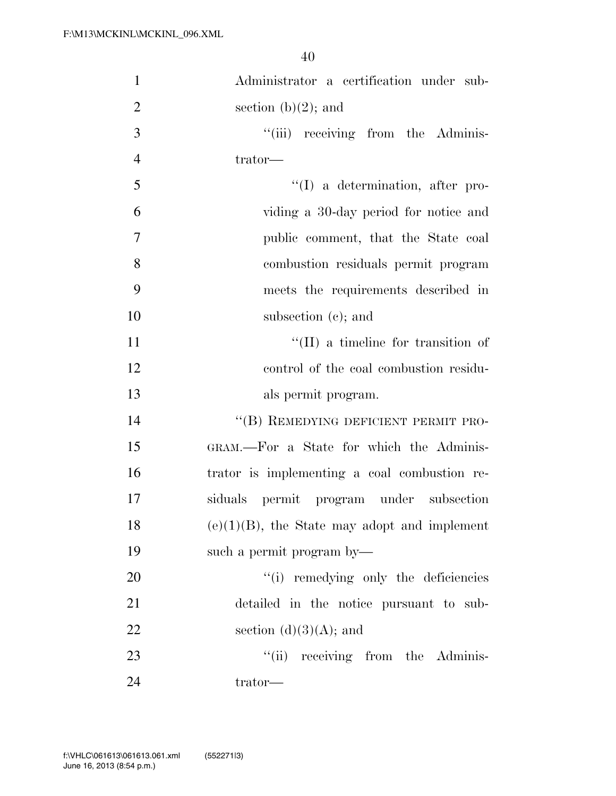| $\mathbf{1}$   | Administrator a certification under sub-        |
|----------------|-------------------------------------------------|
| $\overline{2}$ | section $(b)(2)$ ; and                          |
| 3              | "(iii) receiving from the Adminis-              |
| $\overline{4}$ | trator—                                         |
| 5              | $\lq\lq$ a determination, after pro-            |
| 6              | viding a 30-day period for notice and           |
| 7              | public comment, that the State coal             |
| 8              | combustion residuals permit program             |
| 9              | meets the requirements described in             |
| 10             | subsection $(e)$ ; and                          |
| 11             | $\lq\lq$ (II) a timeline for transition of      |
| 12             | control of the coal combustion residu-          |
| 13             | als permit program.                             |
| 14             | "(B) REMEDYING DEFICIENT PERMIT PRO-            |
| 15             | GRAM.-For a State for which the Adminis-        |
| 16             | trator is implementing a coal combustion re-    |
| 17             | siduals permit program under subsection         |
| 18             | $(e)(1)(B)$ , the State may adopt and implement |
| 19             | such a permit program by—                       |
| 20             | "(i) remedying only the deficiencies            |
| 21             | detailed in the notice pursuant to sub-         |
| 22             | section $(d)(3)(A)$ ; and                       |
| 23             | "(ii) receiving from the Adminis-               |
| 24             | trator—                                         |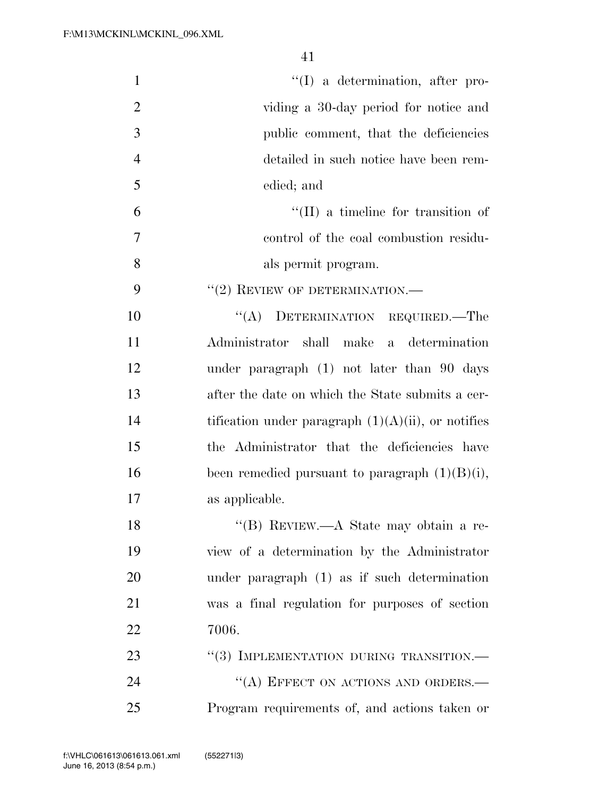| $\mathbf{1}$   | $\lq\lq$ a determination, after pro-                  |
|----------------|-------------------------------------------------------|
| $\overline{2}$ | viding a 30-day period for notice and                 |
| 3              | public comment, that the deficiencies                 |
| $\overline{4}$ | detailed in such notice have been rem-                |
| 5              | edied; and                                            |
| 6              | $\lq\lq$ (II) a timeline for transition of            |
| 7              | control of the coal combustion residu-                |
| 8              | als permit program.                                   |
| 9              | $``(2)$ REVIEW OF DETERMINATION.—                     |
| 10             | "(A) DETERMINATION REQUIRED.—The                      |
| 11             | Administrator shall make a determination              |
| 12             | under paragraph $(1)$ not later than 90 days          |
| 13             | after the date on which the State submits a cer-      |
| 14             | tification under paragraph $(1)(A)(ii)$ , or notifies |
| 15             | the Administrator that the deficiencies have          |
| 16             | been remedied pursuant to paragraph $(1)(B)(i)$ ,     |
| 17             | as applicable.                                        |
| 18             | "(B) REVIEW.—A State may obtain a re-                 |
| 19             | view of a determination by the Administrator          |
| 20             | under paragraph (1) as if such determination          |
| 21             | was a final regulation for purposes of section        |
| 22             | 7006.                                                 |
| 23             | "(3) IMPLEMENTATION DURING TRANSITION.—               |
| 24             | "(A) EFFECT ON ACTIONS AND ORDERS.-                   |
| 25             | Program requirements of, and actions taken or         |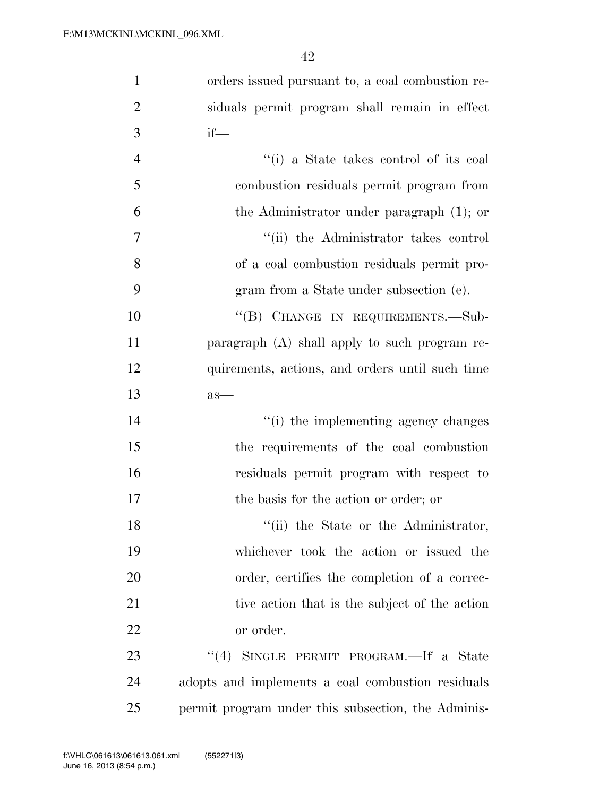| $\mathbf{1}$   | orders issued pursuant to, a coal combustion re-   |
|----------------|----------------------------------------------------|
| $\overline{2}$ | siduals permit program shall remain in effect      |
| 3              | $if$ —                                             |
| $\overline{4}$ | "(i) a State takes control of its coal             |
| 5              | combustion residuals permit program from           |
| 6              | the Administrator under paragraph $(1)$ ; or       |
| 7              | "(ii) the Administrator takes control              |
| 8              | of a coal combustion residuals permit pro-         |
| 9              | gram from a State under subsection (e).            |
| 10             | "(B) CHANGE IN REQUIREMENTS.-Sub-                  |
| 11             | paragraph (A) shall apply to such program re-      |
| 12             | quirements, actions, and orders until such time    |
| 13             | $as-$                                              |
| 14             | "(i) the implementing agency changes               |
| 15             | the requirements of the coal combustion            |
| 16             | residuals permit program with respect to           |
| 17             | the basis for the action or order; or              |
| 18             | "(ii) the State or the Administrator,              |
| 19             | whichever took the action or issued the            |
| 20             | order, certifies the completion of a correc-       |
| 21             | tive action that is the subject of the action      |
| 22             | or order.                                          |
| 23             | (4)<br>SINGLE PERMIT PROGRAM.—If a State           |
| 24             | adopts and implements a coal combustion residuals  |
| 25             | permit program under this subsection, the Adminis- |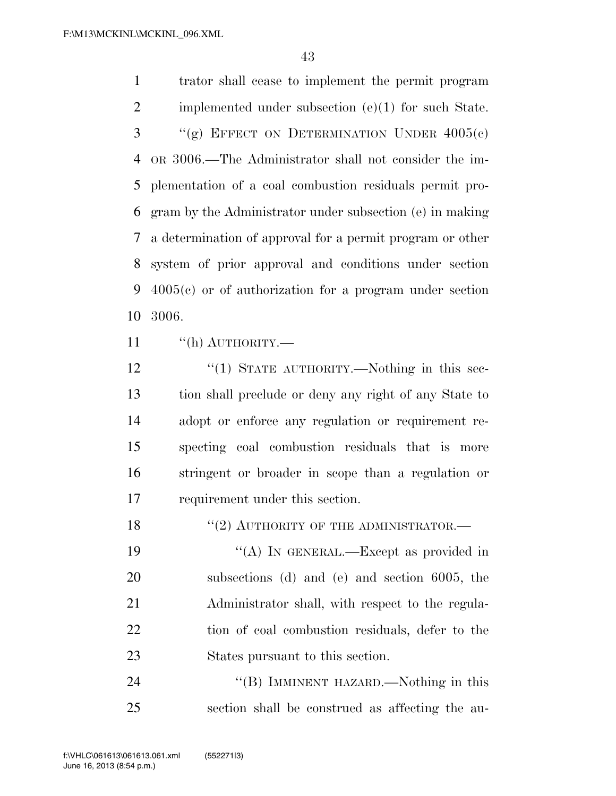trator shall cease to implement the permit program implemented under subsection (e)(1) for such State. "(g) EFFECT ON DETERMINATION UNDER  $4005(c)$  OR 3006.—The Administrator shall not consider the im- plementation of a coal combustion residuals permit pro- gram by the Administrator under subsection (e) in making a determination of approval for a permit program or other system of prior approval and conditions under section 4005(c) or of authorization for a program under section 3006.

11 "(h) AUTHORITY.—

12 "(1) STATE AUTHORITY.—Nothing in this sec- tion shall preclude or deny any right of any State to adopt or enforce any regulation or requirement re- specting coal combustion residuals that is more stringent or broader in scope than a regulation or requirement under this section.

18 "(2) AUTHORITY OF THE ADMINISTRATOR.—

19 "(A) IN GENERAL.—Except as provided in subsections (d) and (e) and section 6005, the 21 Administrator shall, with respect to the regula- tion of coal combustion residuals, defer to the States pursuant to this section.

24 "(B) IMMINENT HAZARD.—Nothing in this section shall be construed as affecting the au-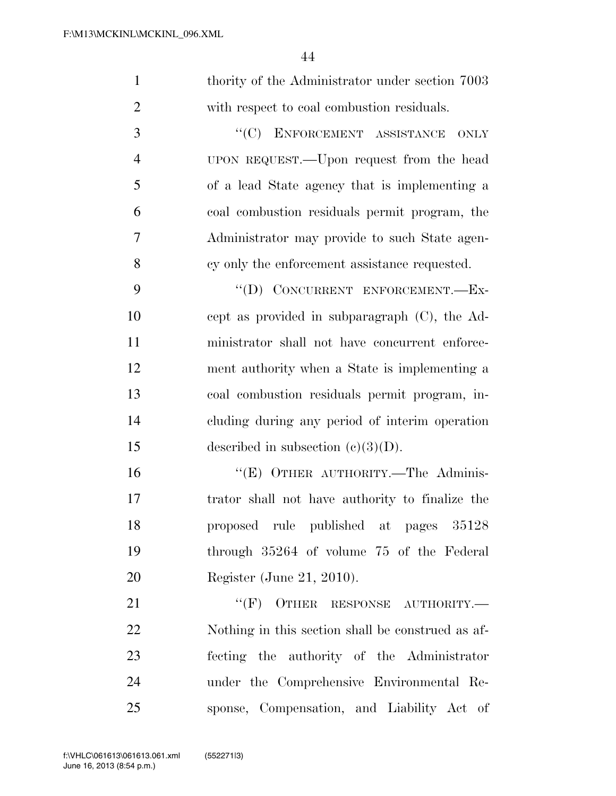| $\mathbf{1}$   | thority of the Administrator under section 7003   |
|----------------|---------------------------------------------------|
| $\overline{2}$ | with respect to coal combustion residuals.        |
| 3              | "(C) ENFORCEMENT ASSISTANCE<br><b>ONLY</b>        |
| $\overline{4}$ | UPON REQUEST.—Upon request from the head          |
| 5              | of a lead State agency that is implementing a     |
| 6              | coal combustion residuals permit program, the     |
| 7              | Administrator may provide to such State agen-     |
| 8              | cy only the enforcement assistance requested.     |
| 9              | "(D) CONCURRENT ENFORCEMENT.-Ex-                  |
| 10             | cept as provided in subparagraph $(C)$ , the Ad-  |
| 11             | ministrator shall not have concurrent enforce-    |
| 12             | ment authority when a State is implementing a     |
| 13             | coal combustion residuals permit program, in-     |
| 14             | cluding during any period of interim operation    |
| 15             | described in subsection $(c)(3)(D)$ .             |
| 16             | "(E) OTHER AUTHORITY.—The Adminis-                |
| 17             | trator shall not have authority to finalize the   |
| 18             | proposed rule published at pages 35128            |
| 19             | through 35264 of volume 75 of the Federal         |
| 20             | Register (June 21, 2010).                         |
| 21             | $``(F)$ OTHER RESPONSE AUTHORITY.—                |
| 22             | Nothing in this section shall be construed as af- |
| 23             | fecting the authority of the Administrator        |
| 24             | under the Comprehensive Environmental Re-         |
| 25             | sponse, Compensation, and Liability Act of        |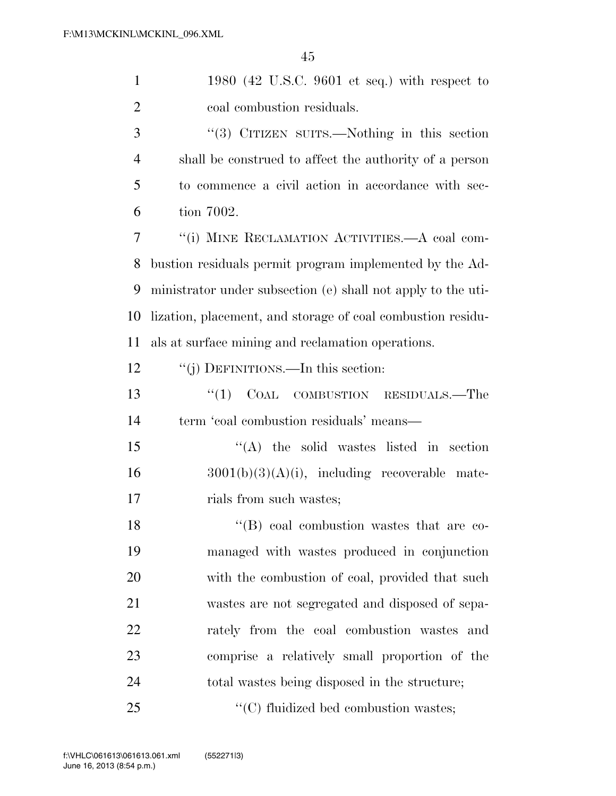| $\mathbf{1}$   | 1980 (42 U.S.C. 9601 et seq.) with respect to                |
|----------------|--------------------------------------------------------------|
| $\overline{2}$ | coal combustion residuals.                                   |
| 3              | "(3) CITIZEN SUITS.—Nothing in this section                  |
| $\overline{4}$ | shall be construed to affect the authority of a person       |
| 5              | to commence a civil action in accordance with sec-           |
| 6              | tion 7002.                                                   |
| 7              | "(i) MINE RECLAMATION ACTIVITIES.—A coal com-                |
| 8              | bustion residuals permit program implemented by the Ad-      |
| 9              | ministrator under subsection (e) shall not apply to the uti- |
| 10             | lization, placement, and storage of coal combustion residu-  |
| 11             | als at surface mining and reclamation operations.            |
| 12             | "(j) DEFINITIONS.—In this section:                           |
| 13             | COAL COMBUSTION RESIDUALS.—The<br>``(1)                      |
| 14             | term 'coal combustion residuals' means—                      |
| 15             | $\lq\lq$ the solid wastes listed in section                  |
| 16             | $3001(b)(3)(A)(i)$ , including recoverable mate-             |
| 17             | rials from such wastes;                                      |
| 18             | "(B) coal combustion wastes that are co-                     |
| 19             | managed with wastes produced in conjunction                  |
| 20             | with the combustion of coal, provided that such              |
| 21             | wastes are not segregated and disposed of sepa-              |
| 22             | rately from the coal combustion wastes and                   |
| 23             | comprise a relatively small proportion of the                |
| 24             | total wastes being disposed in the structure;                |
| 25             | "(C) fluidized bed combustion wastes;                        |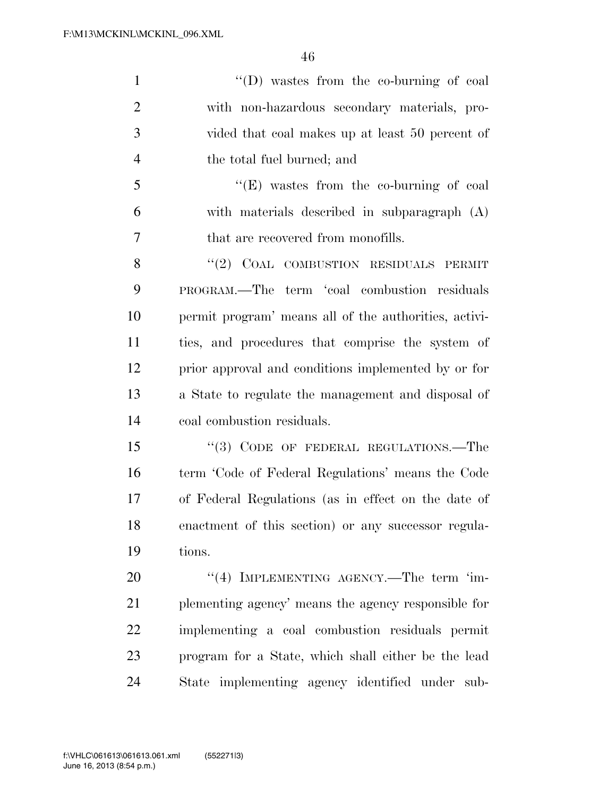''(D) wastes from the co-burning of coal with non-hazardous secondary materials, pro- vided that coal makes up at least 50 percent of the total fuel burned; and ''(E) wastes from the co-burning of coal with materials described in subparagraph (A) that are recovered from monofills. 8 "(2) COAL COMBUSTION RESIDUALS PERMIT PROGRAM.—The term 'coal combustion residuals permit program' means all of the authorities, activi- ties, and procedures that comprise the system of prior approval and conditions implemented by or for a State to regulate the management and disposal of coal combustion residuals. 15 "(3) CODE OF FEDERAL REGULATIONS.—The term 'Code of Federal Regulations' means the Code of Federal Regulations (as in effect on the date of enactment of this section) or any successor regula- tions. 20 "(4) IMPLEMENTING AGENCY.—The term 'im- plementing agency' means the agency responsible for implementing a coal combustion residuals permit program for a State, which shall either be the lead State implementing agency identified under sub-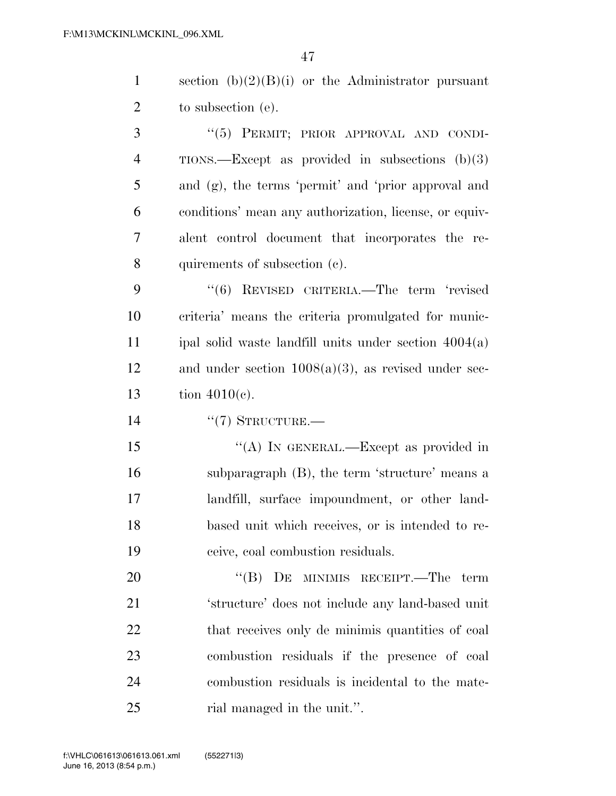section (b)(2)(B)(i) or the Administrator pursuant 2 to subsection (e).

3 "(5) PERMIT; PRIOR APPROVAL AND CONDI- TIONS.—Except as provided in subsections (b)(3) and (g), the terms 'permit' and 'prior approval and conditions' mean any authorization, license, or equiv- alent control document that incorporates the re-quirements of subsection (c).

 ''(6) REVISED CRITERIA.—The term 'revised criteria' means the criteria promulgated for munic- ipal solid waste landfill units under section 4004(a) 12 and under section  $1008(a)(3)$ , as revised under sec-tion 4010(c).

''(7) STRUCTURE.—

15 "(A) In GENERAL.—Except as provided in subparagraph (B), the term 'structure' means a landfill, surface impoundment, or other land- based unit which receives, or is intended to re-ceive, coal combustion residuals.

20 "(B) DE MINIMIS RECEIPT.—The term 'structure' does not include any land-based unit 22 that receives only de minimis quantities of coal combustion residuals if the presence of coal combustion residuals is incidental to the mate-25 rial managed in the unit.".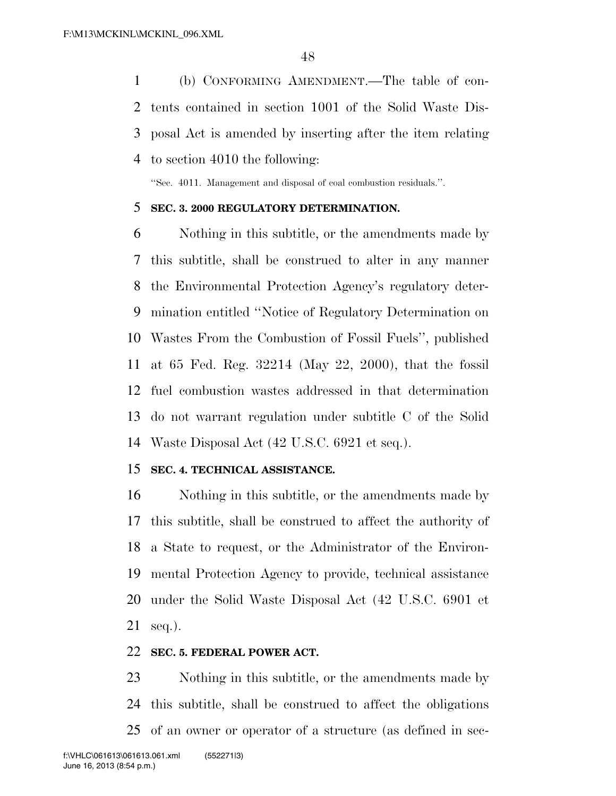(b) CONFORMING AMENDMENT.—The table of con- tents contained in section 1001 of the Solid Waste Dis- posal Act is amended by inserting after the item relating to section 4010 the following:

''Sec. 4011. Management and disposal of coal combustion residuals.''.

#### **SEC. 3. 2000 REGULATORY DETERMINATION.**

 Nothing in this subtitle, or the amendments made by this subtitle, shall be construed to alter in any manner the Environmental Protection Agency's regulatory deter- mination entitled ''Notice of Regulatory Determination on Wastes From the Combustion of Fossil Fuels'', published at 65 Fed. Reg. 32214 (May 22, 2000), that the fossil fuel combustion wastes addressed in that determination do not warrant regulation under subtitle C of the Solid Waste Disposal Act (42 U.S.C. 6921 et seq.).

#### **SEC. 4. TECHNICAL ASSISTANCE.**

 Nothing in this subtitle, or the amendments made by this subtitle, shall be construed to affect the authority of a State to request, or the Administrator of the Environ- mental Protection Agency to provide, technical assistance under the Solid Waste Disposal Act (42 U.S.C. 6901 et seq.).

### **SEC. 5. FEDERAL POWER ACT.**

 Nothing in this subtitle, or the amendments made by this subtitle, shall be construed to affect the obligations of an owner or operator of a structure (as defined in sec-